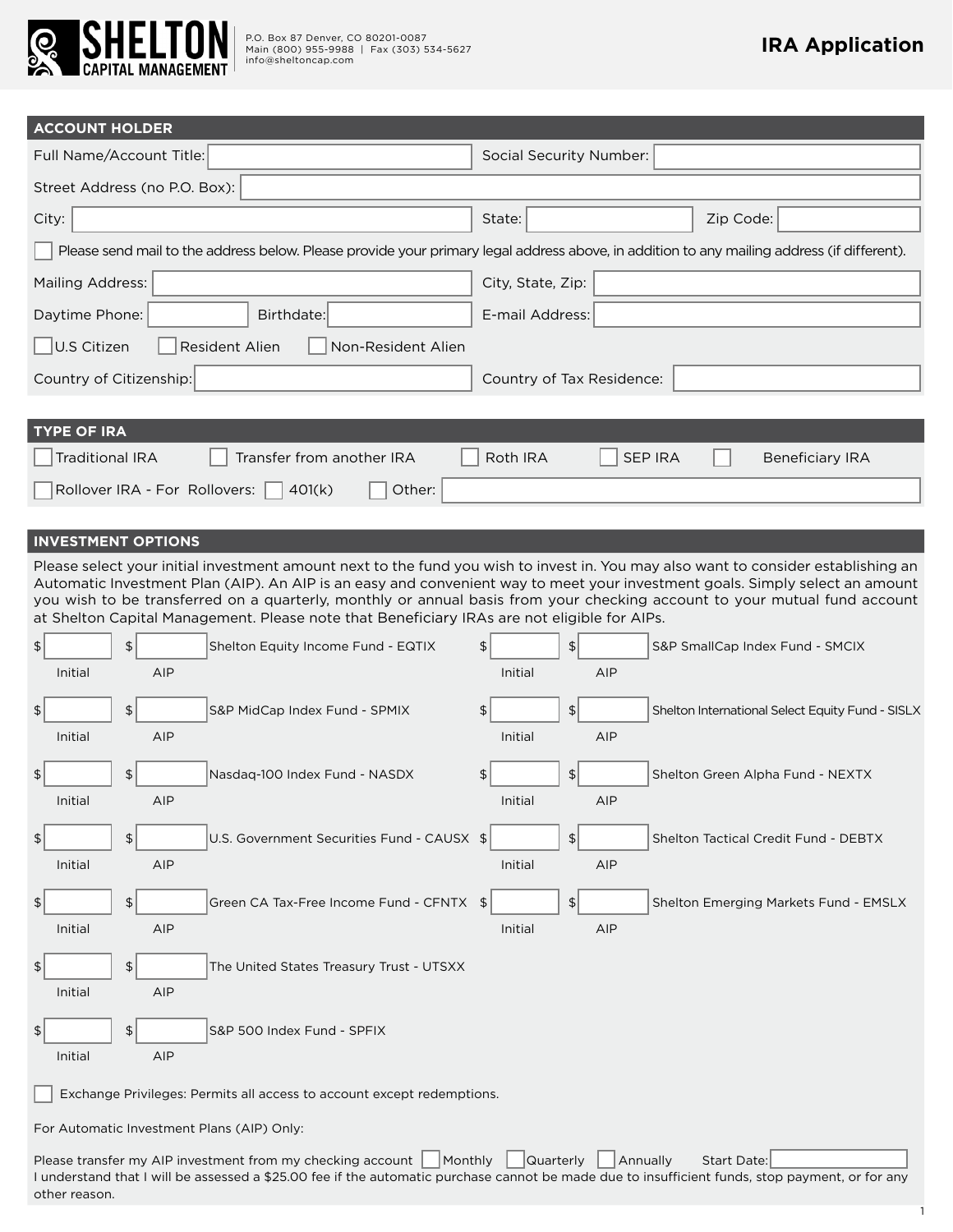

other reason.

| <b>ACCOUNT HOLDER</b>                                                                                                                                                                                                                                                                                                                                                                                                                                                                                                                                                                                                                                          |                                                                                                                                                                                                     |  |  |  |
|----------------------------------------------------------------------------------------------------------------------------------------------------------------------------------------------------------------------------------------------------------------------------------------------------------------------------------------------------------------------------------------------------------------------------------------------------------------------------------------------------------------------------------------------------------------------------------------------------------------------------------------------------------------|-----------------------------------------------------------------------------------------------------------------------------------------------------------------------------------------------------|--|--|--|
| Full Name/Account Title:                                                                                                                                                                                                                                                                                                                                                                                                                                                                                                                                                                                                                                       | <b>Social Security Number:</b>                                                                                                                                                                      |  |  |  |
| Street Address (no P.O. Box):                                                                                                                                                                                                                                                                                                                                                                                                                                                                                                                                                                                                                                  |                                                                                                                                                                                                     |  |  |  |
| City:                                                                                                                                                                                                                                                                                                                                                                                                                                                                                                                                                                                                                                                          | State:<br>Zip Code:                                                                                                                                                                                 |  |  |  |
|                                                                                                                                                                                                                                                                                                                                                                                                                                                                                                                                                                                                                                                                | Please send mail to the address below. Please provide your primary legal address above, in addition to any mailing address (if different).                                                          |  |  |  |
| <b>Mailing Address:</b>                                                                                                                                                                                                                                                                                                                                                                                                                                                                                                                                                                                                                                        | City, State, Zip:                                                                                                                                                                                   |  |  |  |
| Daytime Phone:<br>Birthdate:                                                                                                                                                                                                                                                                                                                                                                                                                                                                                                                                                                                                                                   | E-mail Address:                                                                                                                                                                                     |  |  |  |
| U.S Citizen<br><b>Resident Alien</b><br>Non-Resident Alien                                                                                                                                                                                                                                                                                                                                                                                                                                                                                                                                                                                                     |                                                                                                                                                                                                     |  |  |  |
| Country of Citizenship:                                                                                                                                                                                                                                                                                                                                                                                                                                                                                                                                                                                                                                        | Country of Tax Residence:                                                                                                                                                                           |  |  |  |
|                                                                                                                                                                                                                                                                                                                                                                                                                                                                                                                                                                                                                                                                |                                                                                                                                                                                                     |  |  |  |
| <b>TYPE OF IRA</b>                                                                                                                                                                                                                                                                                                                                                                                                                                                                                                                                                                                                                                             |                                                                                                                                                                                                     |  |  |  |
| <b>Traditional IRA</b><br>Transfer from another IRA                                                                                                                                                                                                                                                                                                                                                                                                                                                                                                                                                                                                            | <b>SEP IRA</b><br><b>Roth IRA</b><br><b>Beneficiary IRA</b>                                                                                                                                         |  |  |  |
| Rollover IRA - For Rollovers:<br>Other:<br>401(k)                                                                                                                                                                                                                                                                                                                                                                                                                                                                                                                                                                                                              |                                                                                                                                                                                                     |  |  |  |
| <b>INVESTMENT OPTIONS</b>                                                                                                                                                                                                                                                                                                                                                                                                                                                                                                                                                                                                                                      |                                                                                                                                                                                                     |  |  |  |
| Please select your initial investment amount next to the fund you wish to invest in. You may also want to consider establishing an<br>Automatic Investment Plan (AIP). An AIP is an easy and convenient way to meet your investment goals. Simply select an amount<br>you wish to be transferred on a quarterly, monthly or annual basis from your checking account to your mutual fund account<br>at Shelton Capital Management. Please note that Beneficiary IRAs are not eligible for AIPs.<br>$\frac{1}{2}$<br>\$<br>Shelton Equity Income Fund - EQTIX<br>Initial<br><b>AIP</b><br>$\frac{1}{2}$<br>\$<br>S&P MidCap Index Fund - SPMIX<br>AIP<br>Initial | $\left  \frac{1}{2} \right $<br>\$<br>S&P SmallCap Index Fund - SMCIX<br>AIP<br>Initial<br>$\left  \frac{1}{2} \right $<br>\$<br>Shelton International Select Equity Fund - SISLX<br>Initial<br>AIP |  |  |  |
| $\frac{1}{2}$<br>\$<br>Nasdag-100 Index Fund - NASDX<br>Initial<br>AIP                                                                                                                                                                                                                                                                                                                                                                                                                                                                                                                                                                                         | \$<br>$\vert$<br>Shelton Green Alpha Fund - NEXTX<br>Initial<br>AIP                                                                                                                                 |  |  |  |
| U.S. Government Securities Fund - CAUSX \$<br>$\frac{1}{2}$<br>$\frac{2}{3}$<br>Initial<br>AIP                                                                                                                                                                                                                                                                                                                                                                                                                                                                                                                                                                 | $\left  \frac{1}{2} \right $<br>Shelton Tactical Credit Fund - DEBTX<br>Initial<br>AIP                                                                                                              |  |  |  |
| Green CA Tax-Free Income Fund - CFNTX \$<br>$\frac{1}{2}$<br>\$<br>Initial<br>AIP                                                                                                                                                                                                                                                                                                                                                                                                                                                                                                                                                                              | $\frac{1}{2}$<br>Shelton Emerging Markets Fund - EMSLX<br>Initial<br>AIP                                                                                                                            |  |  |  |
| $\left  \frac{1}{2} \right $<br>\$<br>The United States Treasury Trust - UTSXX<br>Initial<br>AIP                                                                                                                                                                                                                                                                                                                                                                                                                                                                                                                                                               |                                                                                                                                                                                                     |  |  |  |
| $\left  \frac{1}{2} \right $<br>\$<br>S&P 500 Index Fund - SPFIX<br>Initial<br>AIP                                                                                                                                                                                                                                                                                                                                                                                                                                                                                                                                                                             |                                                                                                                                                                                                     |  |  |  |
| Exchange Privileges: Permits all access to account except redemptions.                                                                                                                                                                                                                                                                                                                                                                                                                                                                                                                                                                                         |                                                                                                                                                                                                     |  |  |  |
| For Automatic Investment Plans (AIP) Only:                                                                                                                                                                                                                                                                                                                                                                                                                                                                                                                                                                                                                     |                                                                                                                                                                                                     |  |  |  |
| Please transfer my AIP investment from my checking account<br>Monthly<br>I understand that I will be assessed a \$25.00 fee if the automatic purchase cannot be made due to insufficient funds, stop payment, or for any                                                                                                                                                                                                                                                                                                                                                                                                                                       | Quarterly<br>Annually<br>Start Date:                                                                                                                                                                |  |  |  |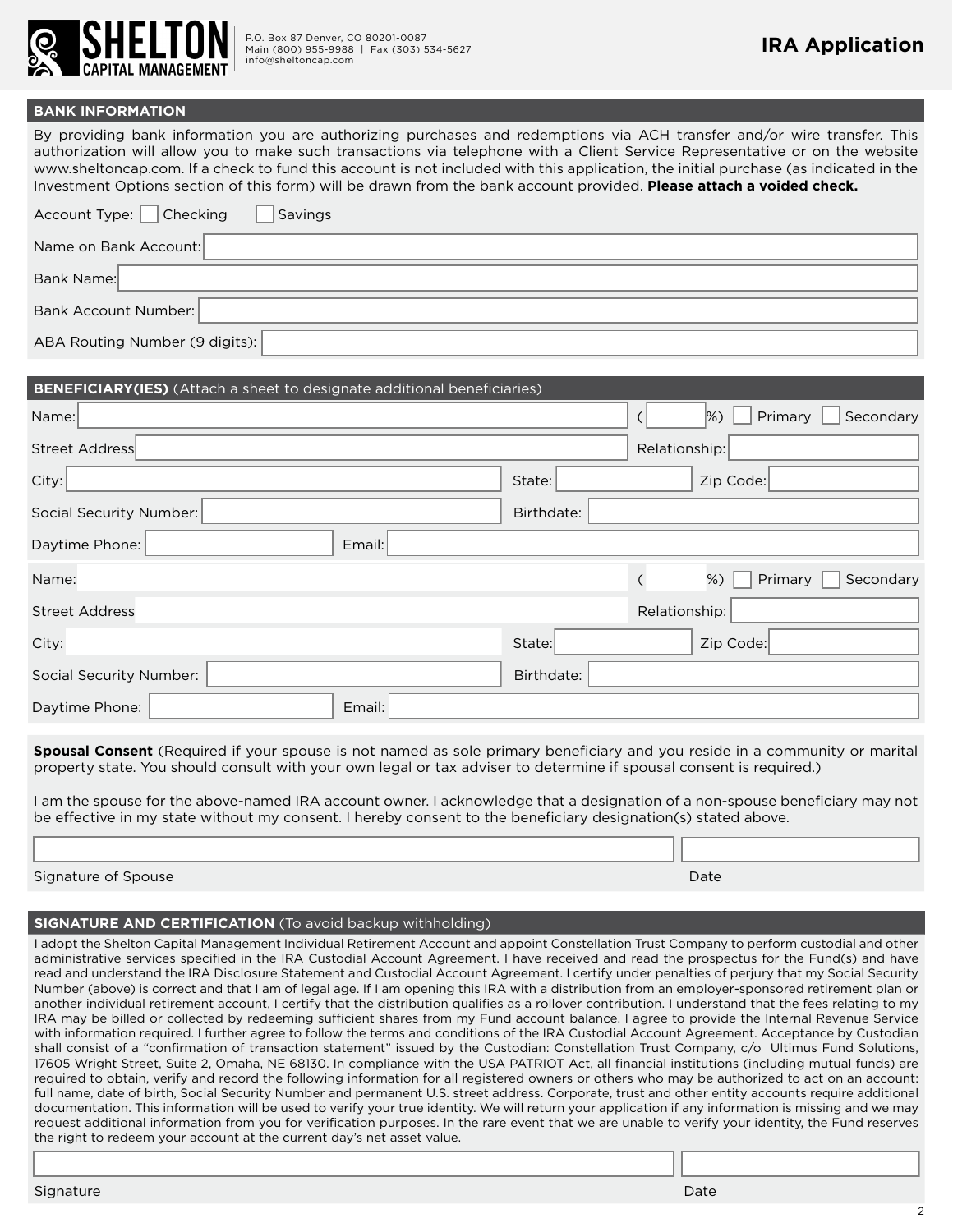

#### **BANK INFORMATION**

By providing bank information you are authorizing purchases and redemptions via ACH transfer and/or wire transfer. This authorization will allow you to make such transactions via telephone with a Client Service Representative or on the website www.sheltoncap.com. If a check to fund this account is not included with this application, the initial purchase (as indicated in the Investment Options section of this form) will be drawn from the bank account provided. **Please attach a voided check.**

| Account Type: $\Box$ Checking<br>Savings |
|------------------------------------------|
| Name on Bank Account:                    |
| Bank Name:                               |
| Bank Account Number:                     |
| ABA Routing Number (9 digits):           |

| <b>BENEFICIARY(IES)</b> (Attach a sheet to designate additional beneficiaries) |                                       |
|--------------------------------------------------------------------------------|---------------------------------------|
| Name:                                                                          | Primary<br>Secondary<br>$\frac{8}{2}$ |
| Street Address                                                                 | Relationship:                         |
| City:                                                                          | Zip Code:<br>State:                   |
| Social Security Number:                                                        | Birthdate:                            |
| Daytime Phone:<br>Email:                                                       |                                       |
| Name:                                                                          | Secondary<br>Primary<br>$\frac{8}{2}$ |
| Street Address                                                                 | Relationship:                         |
| City:                                                                          | Zip Code:<br>State:                   |
| Social Security Number:                                                        | Birthdate:                            |
| Daytime Phone:<br>Email:                                                       |                                       |

**Spousal Consent** (Required if your spouse is not named as sole primary beneficiary and you reside in a community or marital property state. You should consult with your own legal or tax adviser to determine if spousal consent is required.)

I am the spouse for the above-named IRA account owner. I acknowledge that a designation of a non-spouse beneficiary may not be effective in my state without my consent. I hereby consent to the beneficiary designation(s) stated above.

#### Signature of Spouse Date Date of Spouse Date of Spouse Date of Spouse Date of Spouse Date  $D$

#### **SIGNATURE AND CERTIFICATION** (To avoid backup withholding)

I adopt the Shelton Capital Management Individual Retirement Account and appoint Constellation Trust Company to perform custodial and other administrative services specified in the IRA Custodial Account Agreement. I have received and read the prospectus for the Fund(s) and have read and understand the IRA Disclosure Statement and Custodial Account Agreement. I certify under penalties of perjury that my Social Security Number (above) is correct and that I am of legal age. If I am opening this IRA with a distribution from an employer-sponsored retirement plan or another individual retirement account, I certify that the distribution qualifies as a rollover contribution. I understand that the fees relating to my IRA may be billed or collected by redeeming sufficient shares from my Fund account balance. I agree to provide the Internal Revenue Service with information required. I further agree to follow the terms and conditions of the IRA Custodial Account Agreement. Acceptance by Custodian shall consist of a "confirmation of transaction statement" issued by the Custodian: Constellation Trust Company, c/o Ultimus Fund Solutions, 17605 Wright Street, Suite 2, Omaha, NE 68130. In compliance with the USA PATRIOT Act, all financial institutions (including mutual funds) are required to obtain, verify and record the following information for all registered owners or others who may be authorized to act on an account: full name, date of birth, Social Security Number and permanent U.S. street address. Corporate, trust and other entity accounts require additional documentation. This information will be used to verify your true identity. We will return your application if any information is missing and we may request additional information from you for verification purposes. In the rare event that we are unable to verify your identity, the Fund reserves the right to redeem your account at the current day's net asset value.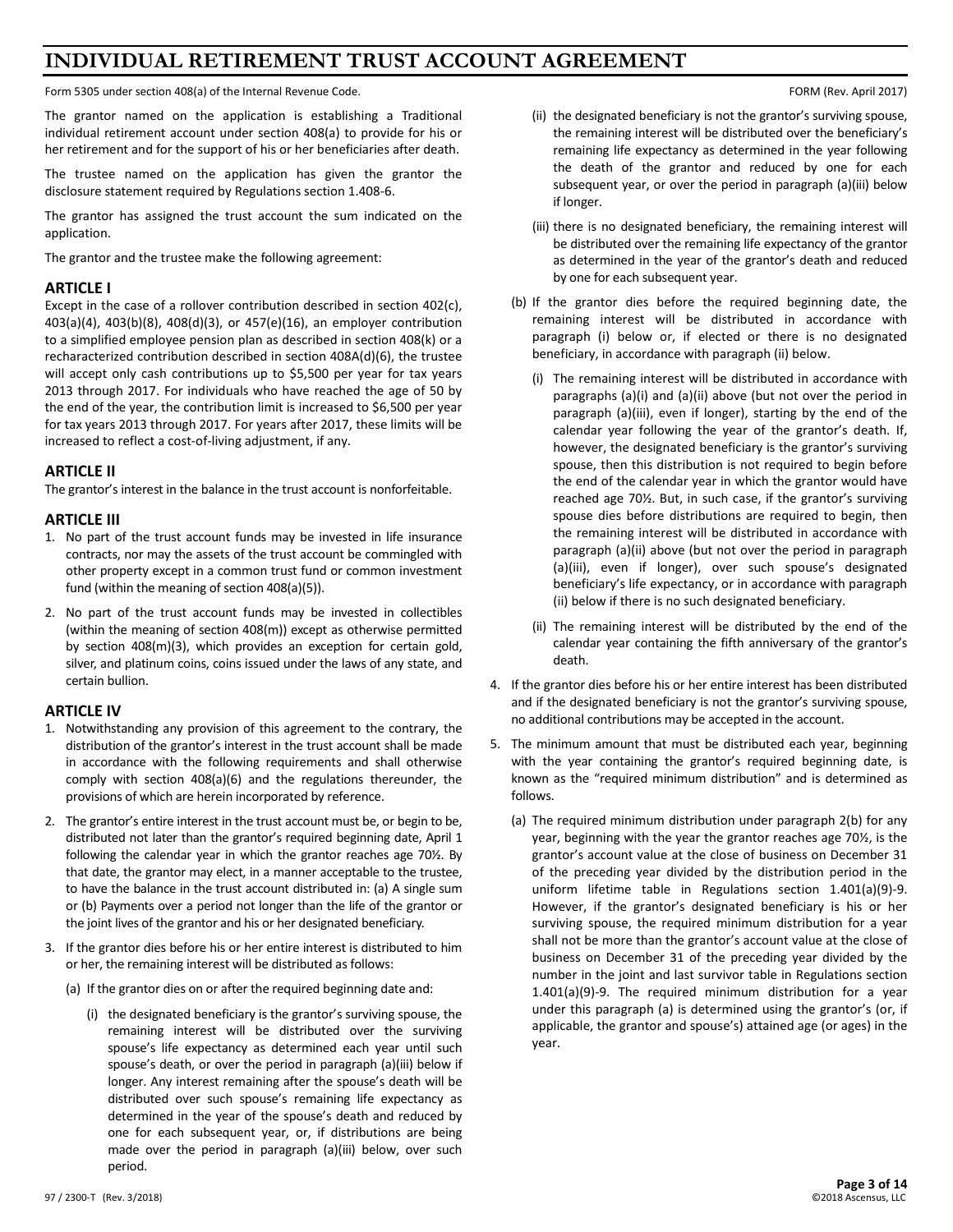#### **INDIVIDUAL RETIREMENT TRUST ACCOUNT AGREEMENT**

Form 5305 under section 408(a) of the Internal Revenue Code. FORM (Rev. April 2017)

The grantor named on the application is establishing a Traditional individual retirement account under section 408(a) to provide for his or her retirement and for the support of his or her beneficiaries after death.

The trustee named on the application has given the grantor the disclosure statement required by Regulations section 1.408-6.

The grantor has assigned the trust account the sum indicated on the application.

The grantor and the trustee make the following agreement:

#### **ARTICLE I**

Except in the case of a rollover contribution described in section 402(c), 403(a)(4), 403(b)(8), 408(d)(3), or 457(e)(16), an employer contribution to a simplified employee pension plan as described in section 408(k) or a recharacterized contribution described in section 408A(d)(6), the trustee will accept only cash contributions up to \$5,500 per year for tax years 2013 through 2017. For individuals who have reached the age of 50 by the end of the year, the contribution limit is increased to \$6,500 per year for tax years 2013 through 2017. For years after 2017, these limits will be increased to reflect a cost-of-living adjustment, if any.

#### **ARTICLE II**

The grantor's interest in the balance in the trust account is nonforfeitable.

#### **ARTICLE III**

- 1. No part of the trust account funds may be invested in life insurance contracts, nor may the assets of the trust account be commingled with other property except in a common trust fund or common investment fund (within the meaning of section 408(a)(5)).
- 2. No part of the trust account funds may be invested in collectibles (within the meaning of section 408(m)) except as otherwise permitted by section 408(m)(3), which provides an exception for certain gold, silver, and platinum coins, coins issued under the laws of any state, and certain bullion.

#### **ARTICLE IV**

- 1. Notwithstanding any provision of this agreement to the contrary, the distribution of the grantor's interest in the trust account shall be made in accordance with the following requirements and shall otherwise comply with section 408(a)(6) and the regulations thereunder, the provisions of which are herein incorporated by reference.
- 2. The grantor's entire interest in the trust account must be, or begin to be, distributed not later than the grantor's required beginning date, April 1 following the calendar year in which the grantor reaches age 70½. By that date, the grantor may elect, in a manner acceptable to the trustee, to have the balance in the trust account distributed in: (a) A single sum or (b) Payments over a period not longer than the life of the grantor or the joint lives of the grantor and his or her designated beneficiary.
- 3. If the grantor dies before his or her entire interest is distributed to him or her, the remaining interest will be distributed as follows:
	- (a) If the grantor dies on or after the required beginning date and:
		- (i) the designated beneficiary is the grantor's surviving spouse, the remaining interest will be distributed over the surviving spouse's life expectancy as determined each year until such spouse's death, or over the period in paragraph (a)(iii) below if longer. Any interest remaining after the spouse's death will be distributed over such spouse's remaining life expectancy as determined in the year of the spouse's death and reduced by one for each subsequent year, or, if distributions are being made over the period in paragraph (a)(iii) below, over such period.

- (ii) the designated beneficiary is not the grantor's surviving spouse, the remaining interest will be distributed over the beneficiary's remaining life expectancy as determined in the year following the death of the grantor and reduced by one for each subsequent year, or over the period in paragraph (a)(iii) below if longer.
- (iii) there is no designated beneficiary, the remaining interest will be distributed over the remaining life expectancy of the grantor as determined in the year of the grantor's death and reduced by one for each subsequent year.
- (b) If the grantor dies before the required beginning date, the remaining interest will be distributed in accordance with paragraph (i) below or, if elected or there is no designated beneficiary, in accordance with paragraph (ii) below.
	- (i) The remaining interest will be distributed in accordance with paragraphs (a)(i) and (a)(ii) above (but not over the period in paragraph (a)(iii), even if longer), starting by the end of the calendar year following the year of the grantor's death. If, however, the designated beneficiary is the grantor's surviving spouse, then this distribution is not required to begin before the end of the calendar year in which the grantor would have reached age 70½. But, in such case, if the grantor's surviving spouse dies before distributions are required to begin, then the remaining interest will be distributed in accordance with paragraph (a)(ii) above (but not over the period in paragraph (a)(iii), even if longer), over such spouse's designated beneficiary's life expectancy, or in accordance with paragraph (ii) below if there is no such designated beneficiary.
	- (ii) The remaining interest will be distributed by the end of the calendar year containing the fifth anniversary of the grantor's death.
- 4. If the grantor dies before his or her entire interest has been distributed and if the designated beneficiary is not the grantor's surviving spouse, no additional contributions may be accepted in the account.
- 5. The minimum amount that must be distributed each year, beginning with the year containing the grantor's required beginning date, is known as the "required minimum distribution" and is determined as follows.
	- (a) The required minimum distribution under paragraph 2(b) for any year, beginning with the year the grantor reaches age 70½, is the grantor's account value at the close of business on December 31 of the preceding year divided by the distribution period in the uniform lifetime table in Regulations section 1.401(a)(9)-9. However, if the grantor's designated beneficiary is his or her surviving spouse, the required minimum distribution for a year shall not be more than the grantor's account value at the close of business on December 31 of the preceding year divided by the number in the joint and last survivor table in Regulations section 1.401(a)(9)-9. The required minimum distribution for a year under this paragraph (a) is determined using the grantor's (or, if applicable, the grantor and spouse's) attained age (or ages) in the year.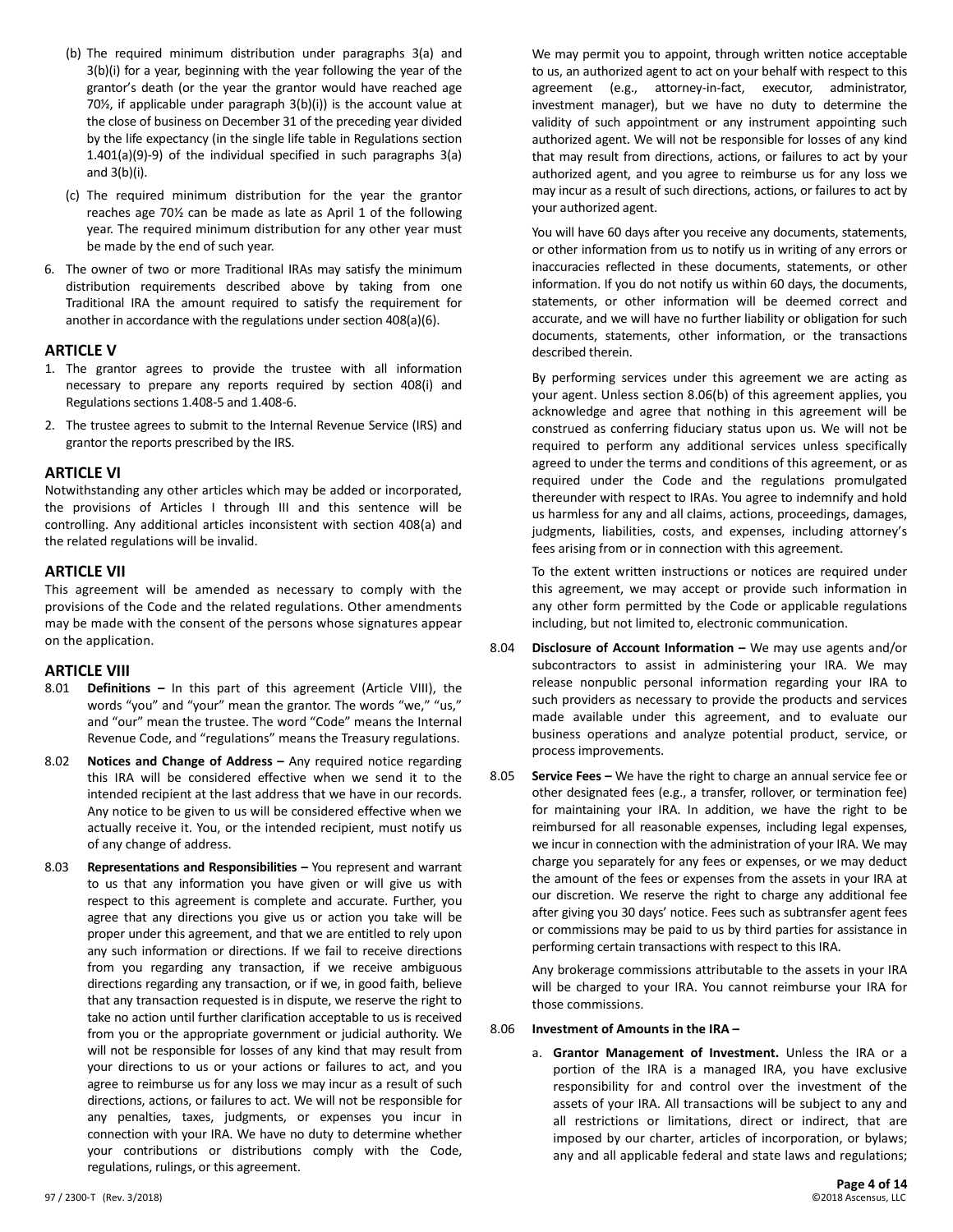- (b) The required minimum distribution under paragraphs 3(a) and 3(b)(i) for a year, beginning with the year following the year of the grantor's death (or the year the grantor would have reached age 70½, if applicable under paragraph 3(b)(i)) is the account value at the close of business on December 31 of the preceding year divided by the life expectancy (in the single life table in Regulations section 1.401(a)(9)-9) of the individual specified in such paragraphs 3(a) and 3(b)(i).
- (c) The required minimum distribution for the year the grantor reaches age 70½ can be made as late as April 1 of the following year. The required minimum distribution for any other year must be made by the end of such year.
- 6. The owner of two or more Traditional IRAs may satisfy the minimum distribution requirements described above by taking from one Traditional IRA the amount required to satisfy the requirement for another in accordance with the regulations under section 408(a)(6).

#### **ARTICLE V**

- 1. The grantor agrees to provide the trustee with all information necessary to prepare any reports required by section 408(i) and Regulations sections 1.408-5 and 1.408-6.
- 2. The trustee agrees to submit to the Internal Revenue Service (IRS) and grantor the reports prescribed by the IRS.

#### **ARTICLE VI**

Notwithstanding any other articles which may be added or incorporated, the provisions of Articles I through III and this sentence will be controlling. Any additional articles inconsistent with section 408(a) and the related regulations will be invalid.

#### **ARTICLE VII**

This agreement will be amended as necessary to comply with the provisions of the Code and the related regulations. Other amendments may be made with the consent of the persons whose signatures appear on the application.

#### **ARTICLE VIII**

- 8.01 **Definitions –** In this part of this agreement (Article VIII), the words "you" and "your" mean the grantor. The words "we," "us," and "our" mean the trustee. The word "Code" means the Internal Revenue Code, and "regulations" means the Treasury regulations.
- 8.02 **Notices and Change of Address –** Any required notice regarding this IRA will be considered effective when we send it to the intended recipient at the last address that we have in our records. Any notice to be given to us will be considered effective when we actually receive it. You, or the intended recipient, must notify us of any change of address.
- 8.03 **Representations and Responsibilities –** You represent and warrant to us that any information you have given or will give us with respect to this agreement is complete and accurate. Further, you agree that any directions you give us or action you take will be proper under this agreement, and that we are entitled to rely upon any such information or directions. If we fail to receive directions from you regarding any transaction, if we receive ambiguous directions regarding any transaction, or if we, in good faith, believe that any transaction requested is in dispute, we reserve the right to take no action until further clarification acceptable to us is received from you or the appropriate government or judicial authority. We will not be responsible for losses of any kind that may result from your directions to us or your actions or failures to act, and you agree to reimburse us for any loss we may incur as a result of such directions, actions, or failures to act. We will not be responsible for any penalties, taxes, judgments, or expenses you incur in connection with your IRA. We have no duty to determine whether your contributions or distributions comply with the Code, regulations, rulings, or this agreement.

We may permit you to appoint, through written notice acceptable to us, an authorized agent to act on your behalf with respect to this agreement (e.g., attorney-in-fact, executor, administrator, investment manager), but we have no duty to determine the validity of such appointment or any instrument appointing such authorized agent. We will not be responsible for losses of any kind that may result from directions, actions, or failures to act by your authorized agent, and you agree to reimburse us for any loss we may incur as a result of such directions, actions, or failures to act by your authorized agent.

You will have 60 days after you receive any documents, statements, or other information from us to notify us in writing of any errors or inaccuracies reflected in these documents, statements, or other information. If you do not notify us within 60 days, the documents, statements, or other information will be deemed correct and accurate, and we will have no further liability or obligation for such documents, statements, other information, or the transactions described therein.

By performing services under this agreement we are acting as your agent. Unless section 8.06(b) of this agreement applies, you acknowledge and agree that nothing in this agreement will be construed as conferring fiduciary status upon us. We will not be required to perform any additional services unless specifically agreed to under the terms and conditions of this agreement, or as required under the Code and the regulations promulgated thereunder with respect to IRAs. You agree to indemnify and hold us harmless for any and all claims, actions, proceedings, damages, judgments, liabilities, costs, and expenses, including attorney's fees arising from or in connection with this agreement.

To the extent written instructions or notices are required under this agreement, we may accept or provide such information in any other form permitted by the Code or applicable regulations including, but not limited to, electronic communication.

- 8.04 **Disclosure of Account Information –** We may use agents and/or subcontractors to assist in administering your IRA. We may release nonpublic personal information regarding your IRA to such providers as necessary to provide the products and services made available under this agreement, and to evaluate our business operations and analyze potential product, service, or process improvements.
- 8.05 **Service Fees –** We have the right to charge an annual service fee or other designated fees (e.g., a transfer, rollover, or termination fee) for maintaining your IRA. In addition, we have the right to be reimbursed for all reasonable expenses, including legal expenses, we incur in connection with the administration of your IRA. We may charge you separately for any fees or expenses, or we may deduct the amount of the fees or expenses from the assets in your IRA at our discretion. We reserve the right to charge any additional fee after giving you 30 days' notice. Fees such as subtransfer agent fees or commissions may be paid to us by third parties for assistance in performing certain transactions with respect to this IRA.

Any brokerage commissions attributable to the assets in your IRA will be charged to your IRA. You cannot reimburse your IRA for those commissions.

#### 8.06 **Investment of Amounts in the IRA –**

a. **Grantor Management of Investment.** Unless the IRA or a portion of the IRA is a managed IRA, you have exclusive responsibility for and control over the investment of the assets of your IRA. All transactions will be subject to any and all restrictions or limitations, direct or indirect, that are imposed by our charter, articles of incorporation, or bylaws; any and all applicable federal and state laws and regulations;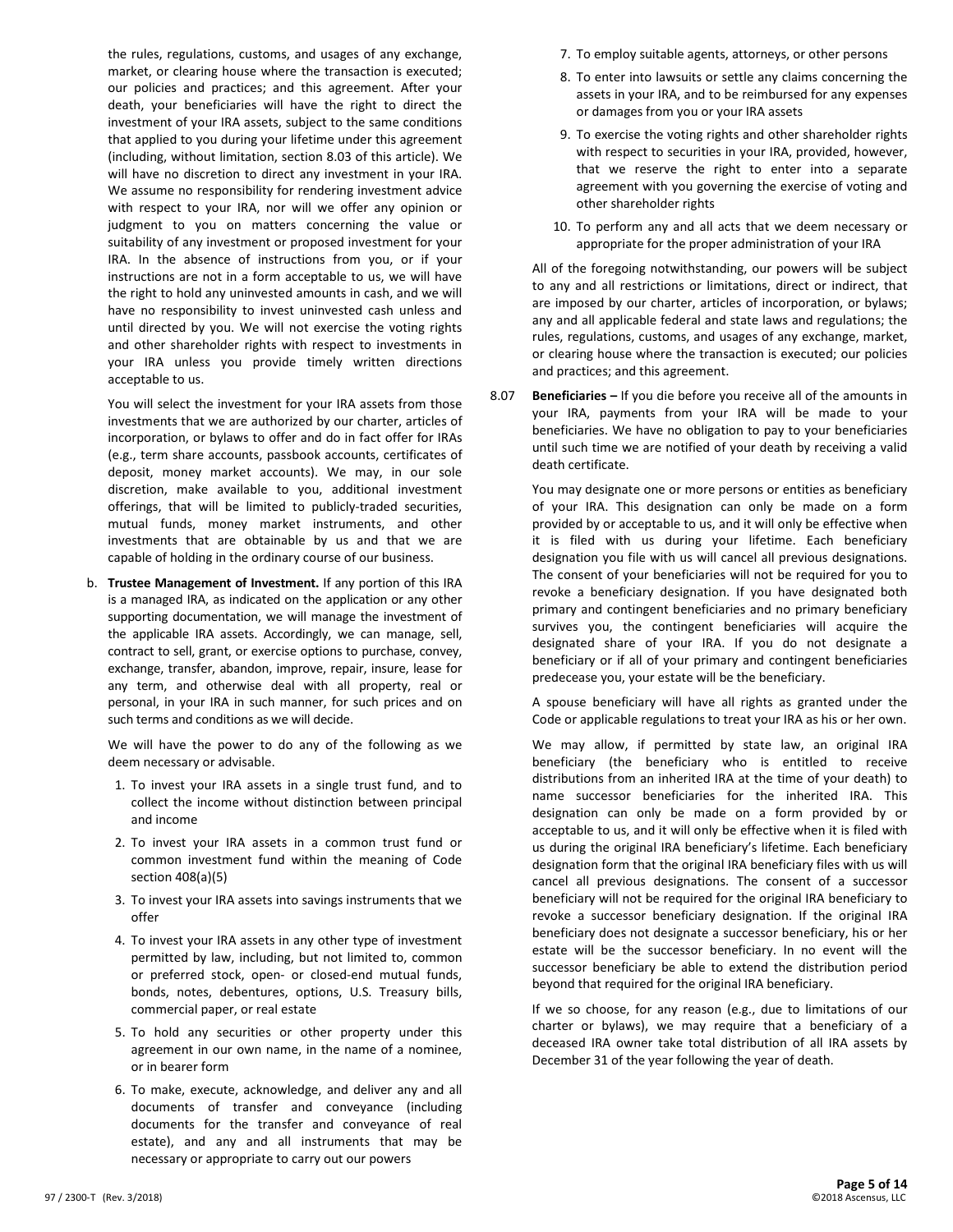the rules, regulations, customs, and usages of any exchange, market, or clearing house where the transaction is executed; our policies and practices; and this agreement. After your death, your beneficiaries will have the right to direct the investment of your IRA assets, subject to the same conditions that applied to you during your lifetime under this agreement (including, without limitation, section 8.03 of this article). We will have no discretion to direct any investment in your IRA. We assume no responsibility for rendering investment advice with respect to your IRA, nor will we offer any opinion or judgment to you on matters concerning the value or suitability of any investment or proposed investment for your IRA. In the absence of instructions from you, or if your instructions are not in a form acceptable to us, we will have the right to hold any uninvested amounts in cash, and we will have no responsibility to invest uninvested cash unless and until directed by you. We will not exercise the voting rights and other shareholder rights with respect to investments in your IRA unless you provide timely written directions acceptable to us.

You will select the investment for your IRA assets from those investments that we are authorized by our charter, articles of incorporation, or bylaws to offer and do in fact offer for IRAs (e.g., term share accounts, passbook accounts, certificates of deposit, money market accounts). We may, in our sole discretion, make available to you, additional investment offerings, that will be limited to publicly-traded securities, mutual funds, money market instruments, and other investments that are obtainable by us and that we are capable of holding in the ordinary course of our business.

b. **Trustee Management of Investment.** If any portion of this IRA is a managed IRA, as indicated on the application or any other supporting documentation, we will manage the investment of the applicable IRA assets. Accordingly, we can manage, sell, contract to sell, grant, or exercise options to purchase, convey, exchange, transfer, abandon, improve, repair, insure, lease for any term, and otherwise deal with all property, real or personal, in your IRA in such manner, for such prices and on such terms and conditions as we will decide.

We will have the power to do any of the following as we deem necessary or advisable.

- 1. To invest your IRA assets in a single trust fund, and to collect the income without distinction between principal and income
- 2. To invest your IRA assets in a common trust fund or common investment fund within the meaning of Code section 408(a)(5)
- 3. To invest your IRA assets into savings instruments that we offer
- 4. To invest your IRA assets in any other type of investment permitted by law, including, but not limited to, common or preferred stock, open- or closed-end mutual funds, bonds, notes, debentures, options, U.S. Treasury bills, commercial paper, or real estate
- 5. To hold any securities or other property under this agreement in our own name, in the name of a nominee, or in bearer form
- 6. To make, execute, acknowledge, and deliver any and all documents of transfer and conveyance (including documents for the transfer and conveyance of real estate), and any and all instruments that may be necessary or appropriate to carry out our powers
- 7. To employ suitable agents, attorneys, or other persons
- 8. To enter into lawsuits or settle any claims concerning the assets in your IRA, and to be reimbursed for any expenses or damages from you or your IRA assets
- 9. To exercise the voting rights and other shareholder rights with respect to securities in your IRA, provided, however, that we reserve the right to enter into a separate agreement with you governing the exercise of voting and other shareholder rights
- 10. To perform any and all acts that we deem necessary or appropriate for the proper administration of your IRA

All of the foregoing notwithstanding, our powers will be subject to any and all restrictions or limitations, direct or indirect, that are imposed by our charter, articles of incorporation, or bylaws; any and all applicable federal and state laws and regulations; the rules, regulations, customs, and usages of any exchange, market, or clearing house where the transaction is executed; our policies and practices; and this agreement.

8.07 **Beneficiaries –** If you die before you receive all of the amounts in your IRA, payments from your IRA will be made to your beneficiaries. We have no obligation to pay to your beneficiaries until such time we are notified of your death by receiving a valid death certificate.

You may designate one or more persons or entities as beneficiary of your IRA. This designation can only be made on a form provided by or acceptable to us, and it will only be effective when it is filed with us during your lifetime. Each beneficiary designation you file with us will cancel all previous designations. The consent of your beneficiaries will not be required for you to revoke a beneficiary designation. If you have designated both primary and contingent beneficiaries and no primary beneficiary survives you, the contingent beneficiaries will acquire the designated share of your IRA. If you do not designate a beneficiary or if all of your primary and contingent beneficiaries predecease you, your estate will be the beneficiary.

A spouse beneficiary will have all rights as granted under the Code or applicable regulations to treat your IRA as his or her own.

We may allow, if permitted by state law, an original IRA beneficiary (the beneficiary who is entitled to receive distributions from an inherited IRA at the time of your death) to name successor beneficiaries for the inherited IRA. This designation can only be made on a form provided by or acceptable to us, and it will only be effective when it is filed with us during the original IRA beneficiary's lifetime. Each beneficiary designation form that the original IRA beneficiary files with us will cancel all previous designations. The consent of a successor beneficiary will not be required for the original IRA beneficiary to revoke a successor beneficiary designation. If the original IRA beneficiary does not designate a successor beneficiary, his or her estate will be the successor beneficiary. In no event will the successor beneficiary be able to extend the distribution period beyond that required for the original IRA beneficiary.

If we so choose, for any reason (e.g., due to limitations of our charter or bylaws), we may require that a beneficiary of a deceased IRA owner take total distribution of all IRA assets by December 31 of the year following the year of death.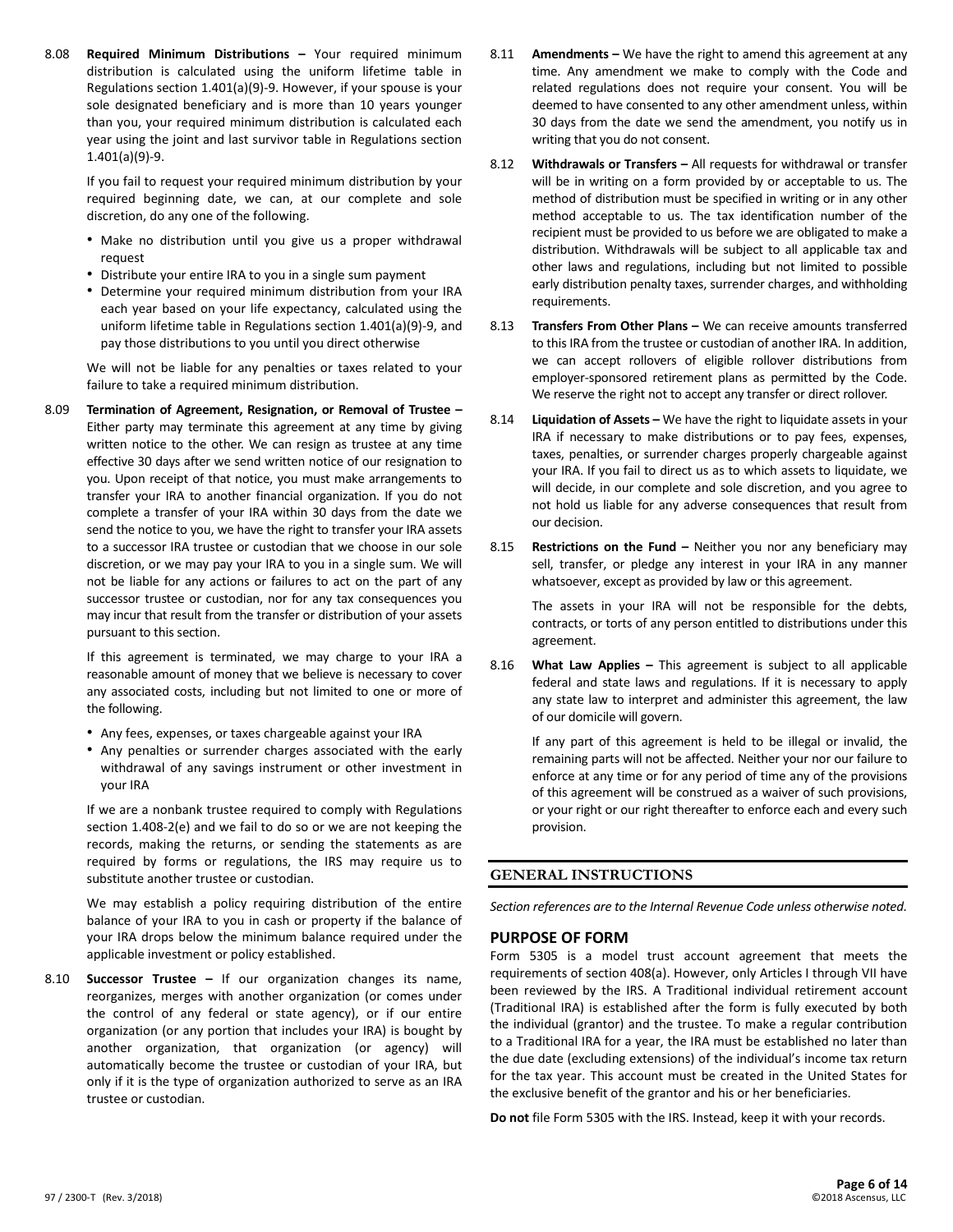8.08 **Required Minimum Distributions –** Your required minimum distribution is calculated using the uniform lifetime table in Regulations section 1.401(a)(9)-9. However, if your spouse is your sole designated beneficiary and is more than 10 years younger than you, your required minimum distribution is calculated each year using the joint and last survivor table in Regulations section 1.401(a)(9)-9.

If you fail to request your required minimum distribution by your required beginning date, we can, at our complete and sole discretion, do any one of the following.

- Make no distribution until you give us a proper withdrawal request
- Distribute your entire IRA to you in a single sum payment
- Determine your required minimum distribution from your IRA each year based on your life expectancy, calculated using the uniform lifetime table in Regulations section 1.401(a)(9)-9, and pay those distributions to you until you direct otherwise

We will not be liable for any penalties or taxes related to your failure to take a required minimum distribution.

8.09 **Termination of Agreement, Resignation, or Removal of Trustee –** Either party may terminate this agreement at any time by giving written notice to the other. We can resign as trustee at any time effective 30 days after we send written notice of our resignation to you. Upon receipt of that notice, you must make arrangements to transfer your IRA to another financial organization. If you do not complete a transfer of your IRA within 30 days from the date we send the notice to you, we have the right to transfer your IRA assets to a successor IRA trustee or custodian that we choose in our sole discretion, or we may pay your IRA to you in a single sum. We will not be liable for any actions or failures to act on the part of any successor trustee or custodian, nor for any tax consequences you may incur that result from the transfer or distribution of your assets pursuant to this section.

If this agreement is terminated, we may charge to your IRA a reasonable amount of money that we believe is necessary to cover any associated costs, including but not limited to one or more of the following.

- Any fees, expenses, or taxes chargeable against your IRA
- Any penalties or surrender charges associated with the early withdrawal of any savings instrument or other investment in your IRA

If we are a nonbank trustee required to comply with Regulations section 1.408-2(e) and we fail to do so or we are not keeping the records, making the returns, or sending the statements as are required by forms or regulations, the IRS may require us to substitute another trustee or custodian.

We may establish a policy requiring distribution of the entire balance of your IRA to you in cash or property if the balance of your IRA drops below the minimum balance required under the applicable investment or policy established.

8.10 **Successor Trustee –** If our organization changes its name, reorganizes, merges with another organization (or comes under the control of any federal or state agency), or if our entire organization (or any portion that includes your IRA) is bought by another organization, that organization (or agency) will automatically become the trustee or custodian of your IRA, but only if it is the type of organization authorized to serve as an IRA trustee or custodian.

- 8.11 **Amendments –** We have the right to amend this agreement at any time. Any amendment we make to comply with the Code and related regulations does not require your consent. You will be deemed to have consented to any other amendment unless, within 30 days from the date we send the amendment, you notify us in writing that you do not consent.
- 8.12 **Withdrawals or Transfers –** All requests for withdrawal or transfer will be in writing on a form provided by or acceptable to us. The method of distribution must be specified in writing or in any other method acceptable to us. The tax identification number of the recipient must be provided to us before we are obligated to make a distribution. Withdrawals will be subject to all applicable tax and other laws and regulations, including but not limited to possible early distribution penalty taxes, surrender charges, and withholding requirements.
- 8.13 **Transfers From Other Plans –** We can receive amounts transferred to this IRA from the trustee or custodian of another IRA. In addition, we can accept rollovers of eligible rollover distributions from employer-sponsored retirement plans as permitted by the Code. We reserve the right not to accept any transfer or direct rollover.
- 8.14 **Liquidation of Assets –** We have the right to liquidate assets in your IRA if necessary to make distributions or to pay fees, expenses, taxes, penalties, or surrender charges properly chargeable against your IRA. If you fail to direct us as to which assets to liquidate, we will decide, in our complete and sole discretion, and you agree to not hold us liable for any adverse consequences that result from our decision.
- 8.15 **Restrictions on the Fund –** Neither you nor any beneficiary may sell, transfer, or pledge any interest in your IRA in any manner whatsoever, except as provided by law or this agreement.

The assets in your IRA will not be responsible for the debts, contracts, or torts of any person entitled to distributions under this agreement.

8.16 **What Law Applies –** This agreement is subject to all applicable federal and state laws and regulations. If it is necessary to apply any state law to interpret and administer this agreement, the law of our domicile will govern.

If any part of this agreement is held to be illegal or invalid, the remaining parts will not be affected. Neither your nor our failure to enforce at any time or for any period of time any of the provisions of this agreement will be construed as a waiver of such provisions, or your right or our right thereafter to enforce each and every such provision.

#### **GENERAL INSTRUCTIONS**

*Section references are to the Internal Revenue Code unless otherwise noted.*

#### **PURPOSE OF FORM**

Form 5305 is a model trust account agreement that meets the requirements of section 408(a). However, only Articles I through VII have been reviewed by the IRS. A Traditional individual retirement account (Traditional IRA) is established after the form is fully executed by both the individual (grantor) and the trustee. To make a regular contribution to a Traditional IRA for a year, the IRA must be established no later than the due date (excluding extensions) of the individual's income tax return for the tax year. This account must be created in the United States for the exclusive benefit of the grantor and his or her beneficiaries.

**Do not** file Form 5305 with the IRS. Instead, keep it with your records.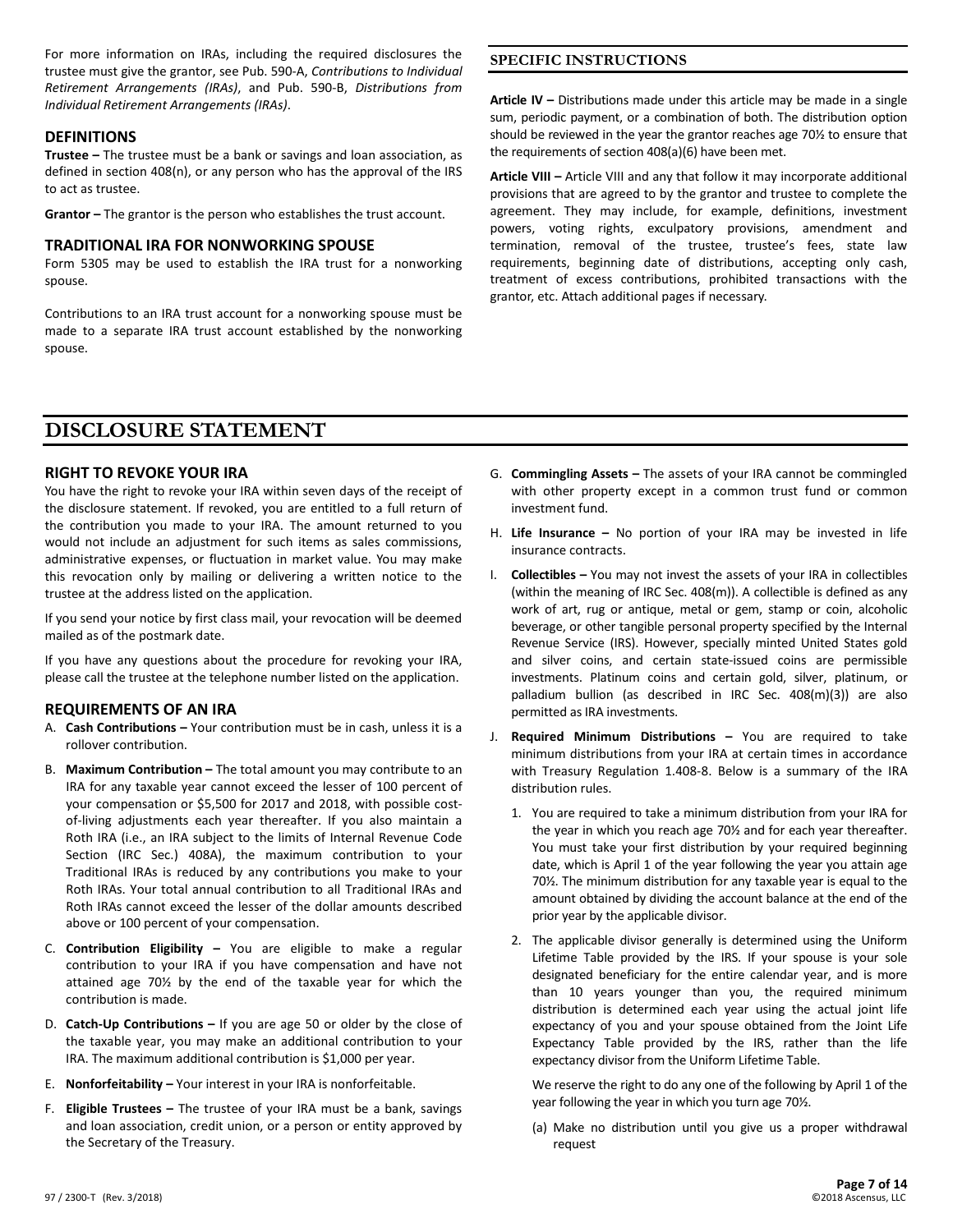For more information on IRAs, including the required disclosures the trustee must give the grantor, see Pub. 590-A, *Contributions to Individual Retirement Arrangements (IRAs)*, and Pub. 590-B, *Distributions from Individual Retirement Arrangements (IRAs)*.

#### **DEFINITIONS**

**Trustee –** The trustee must be a bank or savings and loan association, as defined in section 408(n), or any person who has the approval of the IRS to act as trustee.

**Grantor –** The grantor is the person who establishes the trust account.

#### **TRADITIONAL IRA FOR NONWORKING SPOUSE**

Form 5305 may be used to establish the IRA trust for a nonworking spouse.

Contributions to an IRA trust account for a nonworking spouse must be made to a separate IRA trust account established by the nonworking spouse.

**Article IV –** Distributions made under this article may be made in a single sum, periodic payment, or a combination of both. The distribution option should be reviewed in the year the grantor reaches age 70½ to ensure that the requirements of section 408(a)(6) have been met.

**SPECIFIC INSTRUCTIONS**

**Article VIII –** Article VIII and any that follow it may incorporate additional provisions that are agreed to by the grantor and trustee to complete the agreement. They may include, for example, definitions, investment powers, voting rights, exculpatory provisions, amendment and termination, removal of the trustee, trustee's fees, state law requirements, beginning date of distributions, accepting only cash, treatment of excess contributions, prohibited transactions with the grantor, etc. Attach additional pages if necessary.

### **DISCLOSURE STATEMENT**

#### **RIGHT TO REVOKE YOUR IRA**

You have the right to revoke your IRA within seven days of the receipt of the disclosure statement. If revoked, you are entitled to a full return of the contribution you made to your IRA. The amount returned to you would not include an adjustment for such items as sales commissions, administrative expenses, or fluctuation in market value. You may make this revocation only by mailing or delivering a written notice to the trustee at the address listed on the application.

If you send your notice by first class mail, your revocation will be deemed mailed as of the postmark date.

If you have any questions about the procedure for revoking your IRA, please call the trustee at the telephone number listed on the application.

#### **REQUIREMENTS OF AN IRA**

- A. **Cash Contributions –** Your contribution must be in cash, unless it is a rollover contribution.
- B. **Maximum Contribution –** The total amount you may contribute to an IRA for any taxable year cannot exceed the lesser of 100 percent of your compensation or \$5,500 for 2017 and 2018, with possible costof-living adjustments each year thereafter. If you also maintain a Roth IRA (i.e., an IRA subject to the limits of Internal Revenue Code Section (IRC Sec.) 408A), the maximum contribution to your Traditional IRAs is reduced by any contributions you make to your Roth IRAs. Your total annual contribution to all Traditional IRAs and Roth IRAs cannot exceed the lesser of the dollar amounts described above or 100 percent of your compensation.
- C. **Contribution Eligibility –** You are eligible to make a regular contribution to your IRA if you have compensation and have not attained age 70½ by the end of the taxable year for which the contribution is made.
- D. **Catch-Up Contributions –** If you are age 50 or older by the close of the taxable year, you may make an additional contribution to your IRA. The maximum additional contribution is \$1,000 per year.
- E. **Nonforfeitability –** Your interest in your IRA is nonforfeitable.
- F. **Eligible Trustees –** The trustee of your IRA must be a bank, savings and loan association, credit union, or a person or entity approved by the Secretary of the Treasury.
- G. **Commingling Assets –** The assets of your IRA cannot be commingled with other property except in a common trust fund or common investment fund.
- H. **Life Insurance –** No portion of your IRA may be invested in life insurance contracts.
- I. **Collectibles –** You may not invest the assets of your IRA in collectibles (within the meaning of IRC Sec. 408(m)). A collectible is defined as any work of art, rug or antique, metal or gem, stamp or coin, alcoholic beverage, or other tangible personal property specified by the Internal Revenue Service (IRS). However, specially minted United States gold and silver coins, and certain state-issued coins are permissible investments. Platinum coins and certain gold, silver, platinum, or palladium bullion (as described in IRC Sec. 408(m)(3)) are also permitted as IRA investments.
- J. **Required Minimum Distributions –** You are required to take minimum distributions from your IRA at certain times in accordance with Treasury Regulation 1.408-8. Below is a summary of the IRA distribution rules.
	- 1. You are required to take a minimum distribution from your IRA for the year in which you reach age 70½ and for each year thereafter. You must take your first distribution by your required beginning date, which is April 1 of the year following the year you attain age 70½. The minimum distribution for any taxable year is equal to the amount obtained by dividing the account balance at the end of the prior year by the applicable divisor.
	- 2. The applicable divisor generally is determined using the Uniform Lifetime Table provided by the IRS. If your spouse is your sole designated beneficiary for the entire calendar year, and is more than 10 years younger than you, the required minimum distribution is determined each year using the actual joint life expectancy of you and your spouse obtained from the Joint Life Expectancy Table provided by the IRS, rather than the life expectancy divisor from the Uniform Lifetime Table.

We reserve the right to do any one of the following by April 1 of the year following the year in which you turn age 70½.

(a) Make no distribution until you give us a proper withdrawal request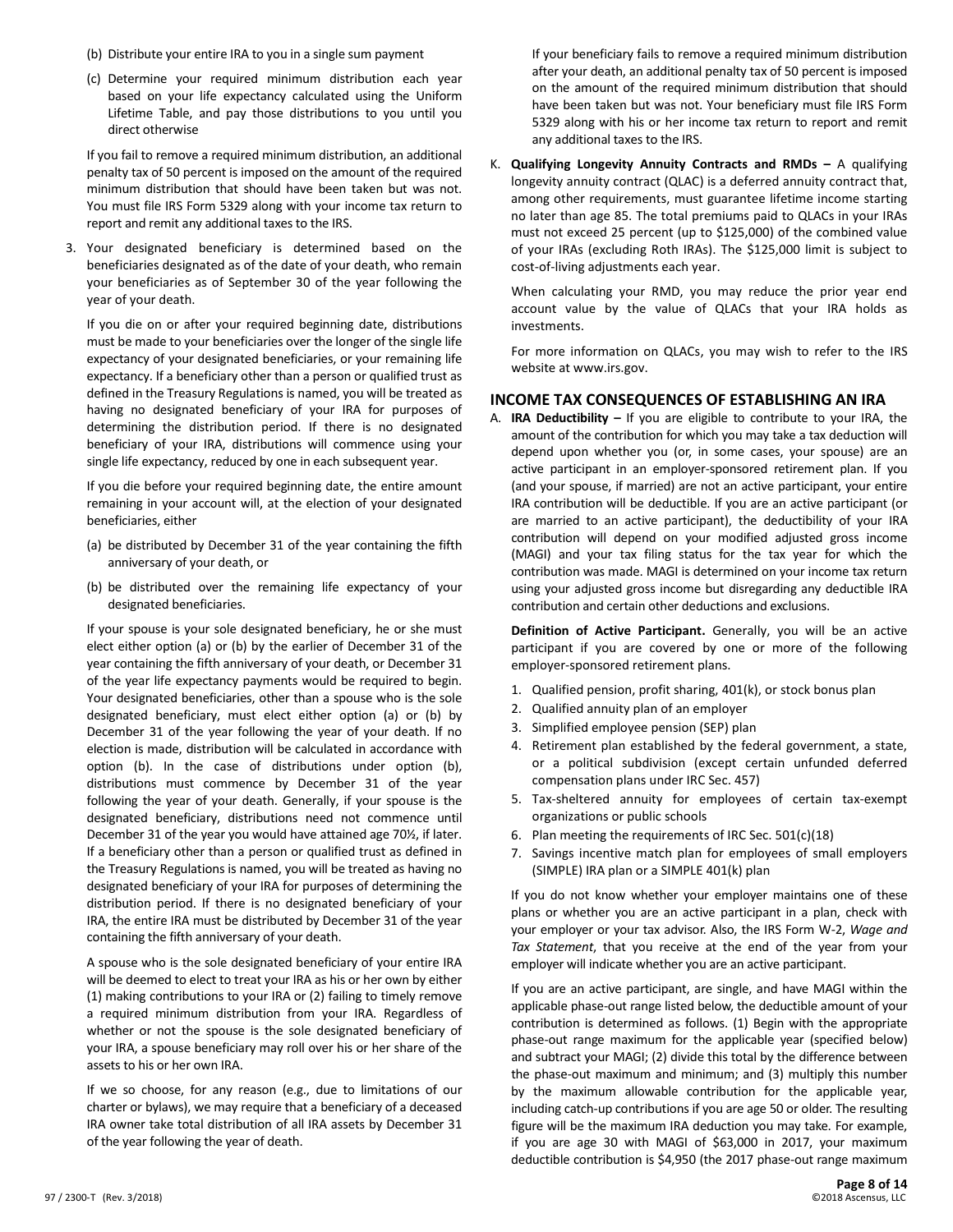- (b) Distribute your entire IRA to you in a single sum payment
- (c) Determine your required minimum distribution each year based on your life expectancy calculated using the Uniform Lifetime Table, and pay those distributions to you until you direct otherwise

If you fail to remove a required minimum distribution, an additional penalty tax of 50 percent is imposed on the amount of the required minimum distribution that should have been taken but was not. You must file IRS Form 5329 along with your income tax return to report and remit any additional taxes to the IRS.

3. Your designated beneficiary is determined based on the beneficiaries designated as of the date of your death, who remain your beneficiaries as of September 30 of the year following the year of your death.

If you die on or after your required beginning date, distributions must be made to your beneficiaries over the longer of the single life expectancy of your designated beneficiaries, or your remaining life expectancy. If a beneficiary other than a person or qualified trust as defined in the Treasury Regulations is named, you will be treated as having no designated beneficiary of your IRA for purposes of determining the distribution period. If there is no designated beneficiary of your IRA, distributions will commence using your single life expectancy, reduced by one in each subsequent year.

If you die before your required beginning date, the entire amount remaining in your account will, at the election of your designated beneficiaries, either

- (a) be distributed by December 31 of the year containing the fifth anniversary of your death, or
- (b) be distributed over the remaining life expectancy of your designated beneficiaries.

If your spouse is your sole designated beneficiary, he or she must elect either option (a) or (b) by the earlier of December 31 of the year containing the fifth anniversary of your death, or December 31 of the year life expectancy payments would be required to begin. Your designated beneficiaries, other than a spouse who is the sole designated beneficiary, must elect either option (a) or (b) by December 31 of the year following the year of your death. If no election is made, distribution will be calculated in accordance with option (b). In the case of distributions under option (b), distributions must commence by December 31 of the year following the year of your death. Generally, if your spouse is the designated beneficiary, distributions need not commence until December 31 of the year you would have attained age 70½, if later. If a beneficiary other than a person or qualified trust as defined in the Treasury Regulations is named, you will be treated as having no designated beneficiary of your IRA for purposes of determining the distribution period. If there is no designated beneficiary of your IRA, the entire IRA must be distributed by December 31 of the year containing the fifth anniversary of your death.

A spouse who is the sole designated beneficiary of your entire IRA will be deemed to elect to treat your IRA as his or her own by either (1) making contributions to your IRA or (2) failing to timely remove a required minimum distribution from your IRA. Regardless of whether or not the spouse is the sole designated beneficiary of your IRA, a spouse beneficiary may roll over his or her share of the assets to his or her own IRA.

If we so choose, for any reason (e.g., due to limitations of our charter or bylaws), we may require that a beneficiary of a deceased IRA owner take total distribution of all IRA assets by December 31 of the year following the year of death.

If your beneficiary fails to remove a required minimum distribution after your death, an additional penalty tax of 50 percent is imposed on the amount of the required minimum distribution that should have been taken but was not. Your beneficiary must file IRS Form 5329 along with his or her income tax return to report and remit any additional taxes to the IRS.

K. **Qualifying Longevity Annuity Contracts and RMDs –** A qualifying longevity annuity contract (QLAC) is a deferred annuity contract that, among other requirements, must guarantee lifetime income starting no later than age 85. The total premiums paid to QLACs in your IRAs must not exceed 25 percent (up to \$125,000) of the combined value of your IRAs (excluding Roth IRAs). The \$125,000 limit is subject to cost-of-living adjustments each year.

When calculating your RMD, you may reduce the prior year end account value by the value of QLACs that your IRA holds as investments.

For more information on QLACs, you may wish to refer to the IRS website at www.irs.gov.

#### **INCOME TAX CONSEQUENCES OF ESTABLISHING AN IRA**

A. **IRA Deductibility –** If you are eligible to contribute to your IRA, the amount of the contribution for which you may take a tax deduction will depend upon whether you (or, in some cases, your spouse) are an active participant in an employer-sponsored retirement plan. If you (and your spouse, if married) are not an active participant, your entire IRA contribution will be deductible. If you are an active participant (or are married to an active participant), the deductibility of your IRA contribution will depend on your modified adjusted gross income (MAGI) and your tax filing status for the tax year for which the contribution was made. MAGI is determined on your income tax return using your adjusted gross income but disregarding any deductible IRA contribution and certain other deductions and exclusions.

**Definition of Active Participant.** Generally, you will be an active participant if you are covered by one or more of the following employer-sponsored retirement plans.

- 1. Qualified pension, profit sharing, 401(k), or stock bonus plan
- 2. Qualified annuity plan of an employer
- 3. Simplified employee pension (SEP) plan
- 4. Retirement plan established by the federal government, a state, or a political subdivision (except certain unfunded deferred compensation plans under IRC Sec. 457)
- 5. Tax-sheltered annuity for employees of certain tax-exempt organizations or public schools
- 6. Plan meeting the requirements of IRC Sec. 501(c)(18)
- 7. Savings incentive match plan for employees of small employers (SIMPLE) IRA plan or a SIMPLE 401(k) plan

If you do not know whether your employer maintains one of these plans or whether you are an active participant in a plan, check with your employer or your tax advisor. Also, the IRS Form W-2, *Wage and Tax Statement*, that you receive at the end of the year from your employer will indicate whether you are an active participant.

If you are an active participant, are single, and have MAGI within the applicable phase-out range listed below, the deductible amount of your contribution is determined as follows. (1) Begin with the appropriate phase-out range maximum for the applicable year (specified below) and subtract your MAGI; (2) divide this total by the difference between the phase-out maximum and minimum; and (3) multiply this number by the maximum allowable contribution for the applicable year, including catch-up contributions if you are age 50 or older. The resulting figure will be the maximum IRA deduction you may take. For example, if you are age 30 with MAGI of \$63,000 in 2017, your maximum deductible contribution is \$4,950 (the 2017 phase-out range maximum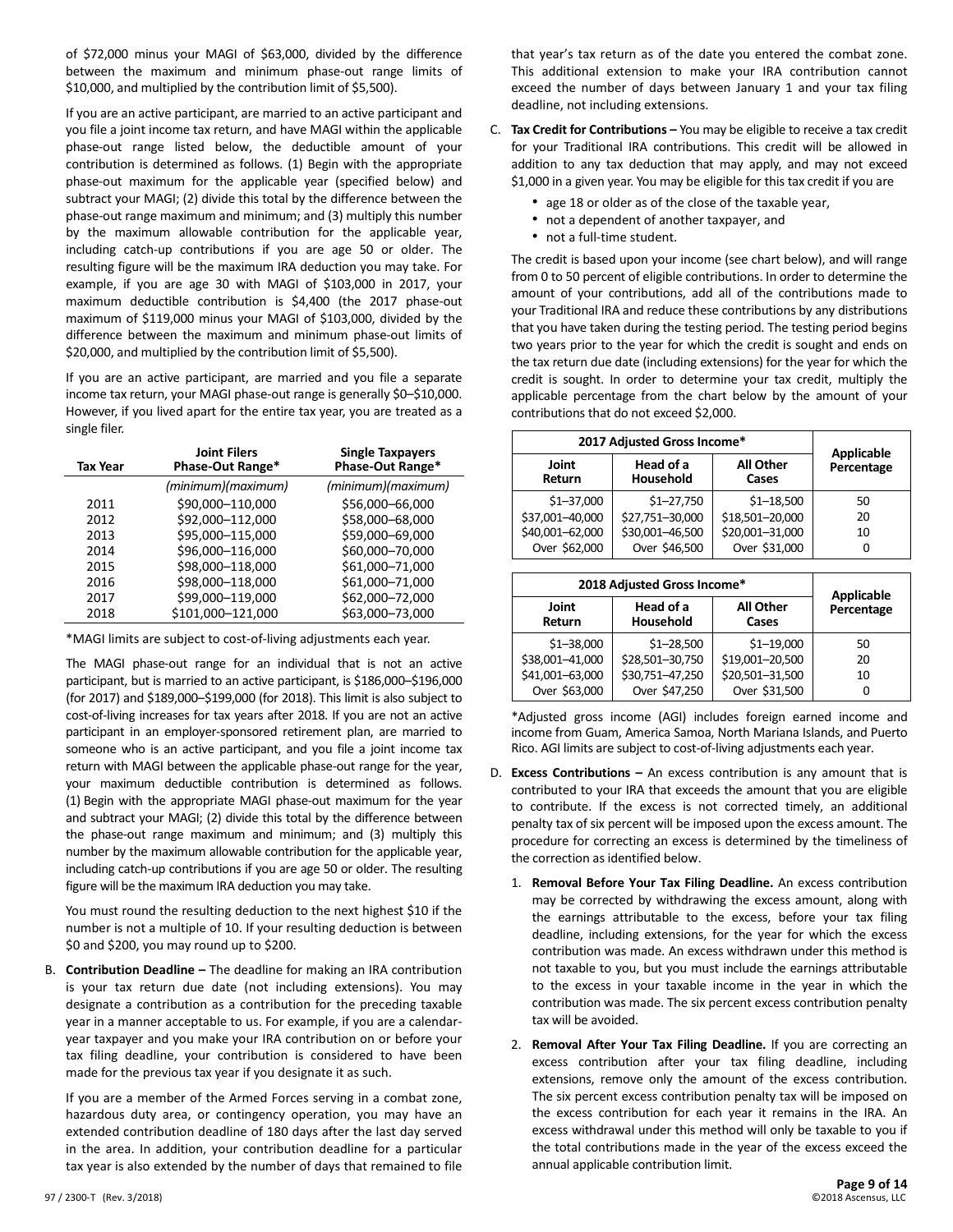of \$72,000 minus your MAGI of \$63,000, divided by the difference between the maximum and minimum phase-out range limits of \$10,000, and multiplied by the contribution limit of \$5,500).

If you are an active participant, are married to an active participant and you file a joint income tax return, and have MAGI within the applicable phase-out range listed below, the deductible amount of your contribution is determined as follows. (1) Begin with the appropriate phase-out maximum for the applicable year (specified below) and subtract your MAGI; (2) divide this total by the difference between the phase-out range maximum and minimum; and (3) multiply this number by the maximum allowable contribution for the applicable year, including catch-up contributions if you are age 50 or older. The resulting figure will be the maximum IRA deduction you may take. For example, if you are age 30 with MAGI of \$103,000 in 2017, your maximum deductible contribution is \$4,400 (the 2017 phase-out maximum of \$119,000 minus your MAGI of \$103,000, divided by the difference between the maximum and minimum phase-out limits of \$20,000, and multiplied by the contribution limit of \$5,500).

If you are an active participant, are married and you file a separate income tax return, your MAGI phase-out range is generally \$0–\$10,000. However, if you lived apart for the entire tax year, you are treated as a single filer.

| Tax Year | <b>Joint Filers</b><br>Phase-Out Range* | <b>Single Taxpayers</b><br>Phase-Out Range* |
|----------|-----------------------------------------|---------------------------------------------|
|          | (minimum)(maximum)                      | (minimum)(maximum)                          |
| 2011     | \$90,000-110,000                        | \$56,000-66,000                             |
| 2012     | \$92,000-112,000                        | \$58,000-68,000                             |
| 2013     | \$95,000-115,000                        | \$59,000-69,000                             |
| 2014     | \$96,000-116,000                        | \$60,000-70,000                             |
| 2015     | \$98,000-118,000                        | \$61,000-71,000                             |
| 2016     | \$98,000-118,000                        | \$61,000-71,000                             |
| 2017     | \$99,000-119,000                        | \$62,000-72,000                             |
| 2018     | \$101,000-121,000                       | \$63,000-73,000                             |

\*MAGI limits are subject to cost-of-living adjustments each year.

The MAGI phase-out range for an individual that is not an active participant, but is married to an active participant, is \$186,000–\$196,000 (for 2017) and \$189,000–\$199,000 (for 2018). This limit is also subject to cost-of-living increases for tax years after 2018. If you are not an active participant in an employer-sponsored retirement plan, are married to someone who is an active participant, and you file a joint income tax return with MAGI between the applicable phase-out range for the year, your maximum deductible contribution is determined as follows. (1) Begin with the appropriate MAGI phase-out maximum for the year and subtract your MAGI; (2) divide this total by the difference between the phase-out range maximum and minimum; and (3) multiply this number by the maximum allowable contribution for the applicable year, including catch-up contributions if you are age 50 or older. The resulting figure will be the maximum IRA deduction you may take.

You must round the resulting deduction to the next highest \$10 if the number is not a multiple of 10. If your resulting deduction is between \$0 and \$200, you may round up to \$200.

B. **Contribution Deadline –** The deadline for making an IRA contribution is your tax return due date (not including extensions). You may designate a contribution as a contribution for the preceding taxable year in a manner acceptable to us. For example, if you are a calendaryear taxpayer and you make your IRA contribution on or before your tax filing deadline, your contribution is considered to have been made for the previous tax year if you designate it as such.

If you are a member of the Armed Forces serving in a combat zone, hazardous duty area, or contingency operation, you may have an extended contribution deadline of 180 days after the last day served in the area. In addition, your contribution deadline for a particular tax year is also extended by the number of days that remained to file

that year's tax return as of the date you entered the combat zone. This additional extension to make your IRA contribution cannot exceed the number of days between January 1 and your tax filing deadline, not including extensions.

- C. **Tax Credit for Contributions –** You may be eligible to receive a tax credit for your Traditional IRA contributions. This credit will be allowed in addition to any tax deduction that may apply, and may not exceed \$1,000 in a given year. You may be eligible for this tax credit if you are
	- age 18 or older as of the close of the taxable year,
	- not a dependent of another taxpayer, and
	- not a full-time student.

The credit is based upon your income (see chart below), and will range from 0 to 50 percent of eligible contributions. In order to determine the amount of your contributions, add all of the contributions made to your Traditional IRA and reduce these contributions by any distributions that you have taken during the testing period. The testing period begins two years prior to the year for which the credit is sought and ends on the tax return due date (including extensions) for the year for which the credit is sought. In order to determine your tax credit, multiply the applicable percentage from the chart below by the amount of your contributions that do not exceed \$2,000.

| 2017 Adjusted Gross Income* | <b>Applicable</b>      |                 |            |
|-----------------------------|------------------------|-----------------|------------|
| Joint<br><b>Return</b>      | Head of a<br>Household |                 | Percentage |
| $$1 - 37,000$               | $$1 - 27,750$          | $$1 - 18,500$   | 50         |
| \$37,001-40,000             | \$27,751-30,000        | \$18,501-20,000 | 20         |
| \$40,001-62,000             | \$30,001-46,500        | \$20,001-31,000 | 10         |
| Over \$62,000               | Over \$46,500          | Over \$31,000   | 0          |

| 2018 Adjusted Gross Income*               | <b>Applicable</b> |                           |            |
|-------------------------------------------|-------------------|---------------------------|------------|
| Head of a<br>Joint<br>Household<br>Return |                   | <b>All Other</b><br>Cases | Percentage |
| $$1 - 38,000$                             | $$1 - 28,500$     | $$1 - 19,000$             | 50         |
| \$38,001-41,000                           | \$28,501-30,750   | \$19,001-20,500           | 20         |
| \$41,001-63,000                           | \$30,751-47,250   | \$20,501-31,500           | 10         |
| Over \$63,000                             | Over \$47,250     | Over \$31,500             | 0          |

\*Adjusted gross income (AGI) includes foreign earned income and income from Guam, America Samoa, North Mariana Islands, and Puerto Rico. AGI limits are subject to cost-of-living adjustments each year.

- D. **Excess Contributions –** An excess contribution is any amount that is contributed to your IRA that exceeds the amount that you are eligible to contribute. If the excess is not corrected timely, an additional penalty tax of six percent will be imposed upon the excess amount. The procedure for correcting an excess is determined by the timeliness of the correction as identified below.
	- 1. **Removal Before Your Tax Filing Deadline.** An excess contribution may be corrected by withdrawing the excess amount, along with the earnings attributable to the excess, before your tax filing deadline, including extensions, for the year for which the excess contribution was made. An excess withdrawn under this method is not taxable to you, but you must include the earnings attributable to the excess in your taxable income in the year in which the contribution was made. The six percent excess contribution penalty tax will be avoided.
	- 2. **Removal After Your Tax Filing Deadline.** If you are correcting an excess contribution after your tax filing deadline, including extensions, remove only the amount of the excess contribution. The six percent excess contribution penalty tax will be imposed on the excess contribution for each year it remains in the IRA. An excess withdrawal under this method will only be taxable to you if the total contributions made in the year of the excess exceed the annual applicable contribution limit.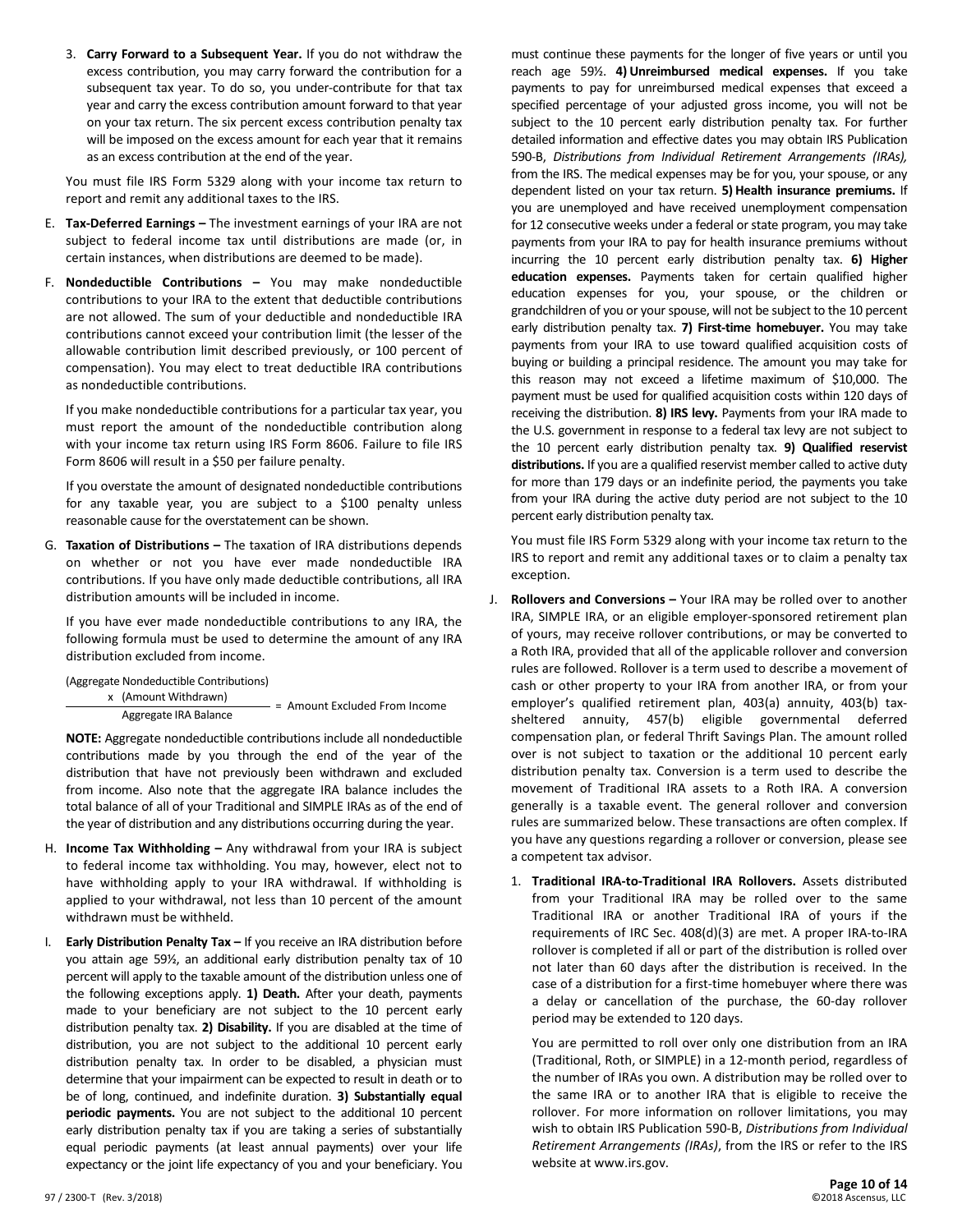3. **Carry Forward to a Subsequent Year.** If you do not withdraw the excess contribution, you may carry forward the contribution for a subsequent tax year. To do so, you under-contribute for that tax year and carry the excess contribution amount forward to that year on your tax return. The six percent excess contribution penalty tax will be imposed on the excess amount for each year that it remains as an excess contribution at the end of the year.

You must file IRS Form 5329 along with your income tax return to report and remit any additional taxes to the IRS.

- E. **Tax-Deferred Earnings –** The investment earnings of your IRA are not subject to federal income tax until distributions are made (or, in certain instances, when distributions are deemed to be made).
- F. **Nondeductible Contributions –** You may make nondeductible contributions to your IRA to the extent that deductible contributions are not allowed. The sum of your deductible and nondeductible IRA contributions cannot exceed your contribution limit (the lesser of the allowable contribution limit described previously, or 100 percent of compensation). You may elect to treat deductible IRA contributions as nondeductible contributions.

If you make nondeductible contributions for a particular tax year, you must report the amount of the nondeductible contribution along with your income tax return using IRS Form 8606. Failure to file IRS Form 8606 will result in a \$50 per failure penalty.

If you overstate the amount of designated nondeductible contributions for any taxable year, you are subject to a \$100 penalty unless reasonable cause for the overstatement can be shown.

G. **Taxation of Distributions –** The taxation of IRA distributions depends on whether or not you have ever made nondeductible IRA contributions. If you have only made deductible contributions, all IRA distribution amounts will be included in income.

If you have ever made nondeductible contributions to any IRA, the following formula must be used to determine the amount of any IRA distribution excluded from income.

(Aggregate Nondeductible Contributions)

x (Amount Withdrawn)

Aggregate IRA Balance = Amount Excluded From Income

**NOTE:** Aggregate nondeductible contributions include all nondeductible contributions made by you through the end of the year of the distribution that have not previously been withdrawn and excluded from income. Also note that the aggregate IRA balance includes the total balance of all of your Traditional and SIMPLE IRAs as of the end of the year of distribution and any distributions occurring during the year.

- H. **Income Tax Withholding –** Any withdrawal from your IRA is subject to federal income tax withholding. You may, however, elect not to have withholding apply to your IRA withdrawal. If withholding is applied to your withdrawal, not less than 10 percent of the amount withdrawn must be withheld.
- I. **Early Distribution Penalty Tax –** If you receive an IRA distribution before you attain age 59½, an additional early distribution penalty tax of 10 percent will apply to the taxable amount of the distribution unless one of the following exceptions apply. **1) Death.** After your death, payments made to your beneficiary are not subject to the 10 percent early distribution penalty tax. **2) Disability.** If you are disabled at the time of distribution, you are not subject to the additional 10 percent early distribution penalty tax. In order to be disabled, a physician must determine that your impairment can be expected to result in death or to be of long, continued, and indefinite duration. **3) Substantially equal periodic payments.** You are not subject to the additional 10 percent early distribution penalty tax if you are taking a series of substantially equal periodic payments (at least annual payments) over your life expectancy or the joint life expectancy of you and your beneficiary. You

must continue these payments for the longer of five years or until you reach age 59½. **4) Unreimbursed medical expenses.** If you take payments to pay for unreimbursed medical expenses that exceed a specified percentage of your adjusted gross income, you will not be subject to the 10 percent early distribution penalty tax. For further detailed information and effective dates you may obtain IRS Publication 590-B, *Distributions from Individual Retirement Arrangements (IRAs),* from the IRS. The medical expenses may be for you, your spouse, or any dependent listed on your tax return. **5) Health insurance premiums.** If you are unemployed and have received unemployment compensation for 12 consecutive weeks under a federal or state program, you may take payments from your IRA to pay for health insurance premiums without incurring the 10 percent early distribution penalty tax. **6) Higher education expenses.** Payments taken for certain qualified higher education expenses for you, your spouse, or the children or grandchildren of you or yourspouse, will not be subject to the 10 percent early distribution penalty tax. **7) First-time homebuyer.** You may take payments from your IRA to use toward qualified acquisition costs of buying or building a principal residence. The amount you may take for this reason may not exceed a lifetime maximum of \$10,000. The payment must be used for qualified acquisition costs within 120 days of receiving the distribution. **8) IRS levy.** Payments from your IRA made to the U.S. government in response to a federal tax levy are not subject to the 10 percent early distribution penalty tax. **9) Qualified reservist distributions.** If you are a qualified reservist member called to active duty for more than 179 days or an indefinite period, the payments you take from your IRA during the active duty period are not subject to the 10 percent early distribution penalty tax.

You must file IRS Form 5329 along with your income tax return to the IRS to report and remit any additional taxes or to claim a penalty tax exception.

- J. **Rollovers and Conversions –** Your IRA may be rolled over to another IRA, SIMPLE IRA, or an eligible employer-sponsored retirement plan of yours, may receive rollover contributions, or may be converted to a Roth IRA, provided that all of the applicable rollover and conversion rules are followed. Rollover is a term used to describe a movement of cash or other property to your IRA from another IRA, or from your employer's qualified retirement plan, 403(a) annuity, 403(b) taxsheltered annuity, 457(b) eligible governmental deferred compensation plan, or federal Thrift Savings Plan. The amount rolled over is not subject to taxation or the additional 10 percent early distribution penalty tax. Conversion is a term used to describe the movement of Traditional IRA assets to a Roth IRA. A conversion generally is a taxable event. The general rollover and conversion rules are summarized below. These transactions are often complex. If you have any questions regarding a rollover or conversion, please see a competent tax advisor.
	- 1. **Traditional IRA-to-Traditional IRA Rollovers.** Assets distributed from your Traditional IRA may be rolled over to the same Traditional IRA or another Traditional IRA of yours if the requirements of IRC Sec. 408(d)(3) are met. A proper IRA-to-IRA rollover is completed if all or part of the distribution is rolled over not later than 60 days after the distribution is received. In the case of a distribution for a first-time homebuyer where there was a delay or cancellation of the purchase, the 60-day rollover period may be extended to 120 days.

You are permitted to roll over only one distribution from an IRA (Traditional, Roth, or SIMPLE) in a 12-month period, regardless of the number of IRAs you own. A distribution may be rolled over to the same IRA or to another IRA that is eligible to receive the rollover. For more information on rollover limitations, you may wish to obtain IRS Publication 590-B, *Distributions from Individual Retirement Arrangements (IRAs)*, from the IRS or refer to the IRS website at www.irs.gov.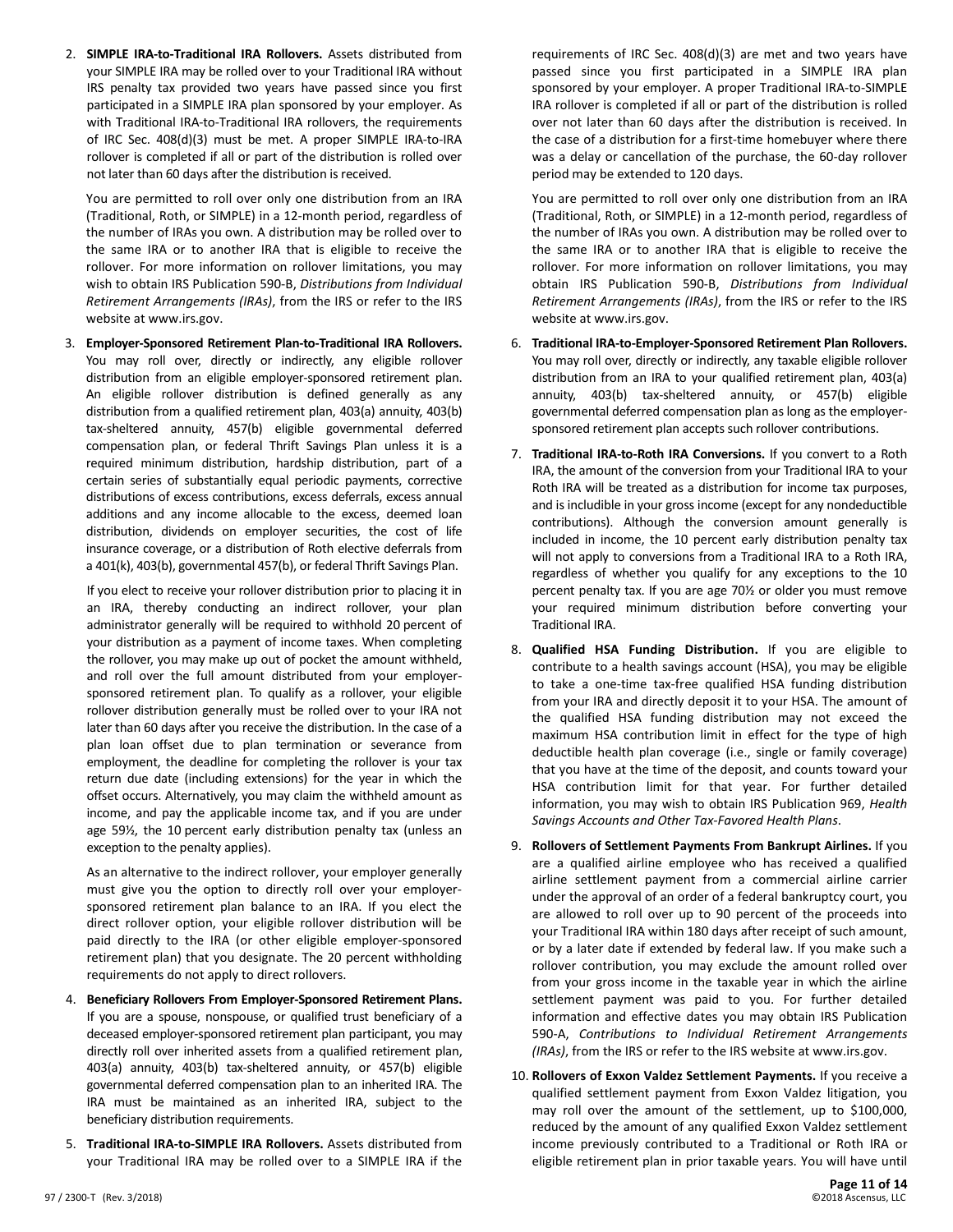2. **SIMPLE IRA-to-Traditional IRA Rollovers.** Assets distributed from your SIMPLE IRA may be rolled over to your Traditional IRA without IRS penalty tax provided two years have passed since you first participated in a SIMPLE IRA plan sponsored by your employer. As with Traditional IRA-to-Traditional IRA rollovers, the requirements of IRC Sec. 408(d)(3) must be met. A proper SIMPLE IRA-to-IRA rollover is completed if all or part of the distribution is rolled over not later than 60 days after the distribution is received.

You are permitted to roll over only one distribution from an IRA (Traditional, Roth, or SIMPLE) in a 12-month period, regardless of the number of IRAs you own. A distribution may be rolled over to the same IRA or to another IRA that is eligible to receive the rollover. For more information on rollover limitations, you may wish to obtain IRS Publication 590-B, *Distributions from Individual Retirement Arrangements (IRAs)*, from the IRS or refer to the IRS website at www.irs.gov.

3. **Employer-Sponsored Retirement Plan-to-Traditional IRA Rollovers.** You may roll over, directly or indirectly, any eligible rollover distribution from an eligible employer-sponsored retirement plan. An eligible rollover distribution is defined generally as any distribution from a qualified retirement plan, 403(a) annuity, 403(b) tax-sheltered annuity, 457(b) eligible governmental deferred compensation plan, or federal Thrift Savings Plan unless it is a required minimum distribution, hardship distribution, part of a certain series of substantially equal periodic payments, corrective distributions of excess contributions, excess deferrals, excess annual additions and any income allocable to the excess, deemed loan distribution, dividends on employer securities, the cost of life insurance coverage, or a distribution of Roth elective deferrals from a 401(k), 403(b), governmental 457(b), or federal Thrift Savings Plan.

If you elect to receive your rollover distribution prior to placing it in an IRA, thereby conducting an indirect rollover, your plan administrator generally will be required to withhold 20 percent of your distribution as a payment of income taxes. When completing the rollover, you may make up out of pocket the amount withheld, and roll over the full amount distributed from your employersponsored retirement plan. To qualify as a rollover, your eligible rollover distribution generally must be rolled over to your IRA not later than 60 days after you receive the distribution. In the case of a plan loan offset due to plan termination or severance from employment, the deadline for completing the rollover is your tax return due date (including extensions) for the year in which the offset occurs. Alternatively, you may claim the withheld amount as income, and pay the applicable income tax, and if you are under age 59½, the 10 percent early distribution penalty tax (unless an exception to the penalty applies).

As an alternative to the indirect rollover, your employer generally must give you the option to directly roll over your employersponsored retirement plan balance to an IRA. If you elect the direct rollover option, your eligible rollover distribution will be paid directly to the IRA (or other eligible employer-sponsored retirement plan) that you designate. The 20 percent withholding requirements do not apply to direct rollovers.

- 4. **Beneficiary Rollovers From Employer-Sponsored Retirement Plans.** If you are a spouse, nonspouse, or qualified trust beneficiary of a deceased employer-sponsored retirement plan participant, you may directly roll over inherited assets from a qualified retirement plan, 403(a) annuity, 403(b) tax-sheltered annuity, or 457(b) eligible governmental deferred compensation plan to an inherited IRA. The IRA must be maintained as an inherited IRA, subject to the beneficiary distribution requirements.
- 5. **Traditional IRA-to-SIMPLE IRA Rollovers.** Assets distributed from your Traditional IRA may be rolled over to a SIMPLE IRA if the

requirements of IRC Sec. 408(d)(3) are met and two years have passed since you first participated in a SIMPLE IRA plan sponsored by your employer. A proper Traditional IRA-to-SIMPLE IRA rollover is completed if all or part of the distribution is rolled over not later than 60 days after the distribution is received. In the case of a distribution for a first-time homebuyer where there was a delay or cancellation of the purchase, the 60-day rollover period may be extended to 120 days.

You are permitted to roll over only one distribution from an IRA (Traditional, Roth, or SIMPLE) in a 12-month period, regardless of the number of IRAs you own. A distribution may be rolled over to the same IRA or to another IRA that is eligible to receive the rollover. For more information on rollover limitations, you may obtain IRS Publication 590-B, *Distributions from Individual Retirement Arrangements (IRAs)*, from the IRS or refer to the IRS website at www.irs.gov.

- 6. **Traditional IRA-to-Employer-Sponsored Retirement Plan Rollovers.** You may roll over, directly or indirectly, any taxable eligible rollover distribution from an IRA to your qualified retirement plan, 403(a) annuity, 403(b) tax-sheltered annuity, or 457(b) eligible governmental deferred compensation plan as long as the employersponsored retirement plan accepts such rollover contributions.
- 7. **Traditional IRA-to-Roth IRA Conversions.** If you convert to a Roth IRA, the amount of the conversion from your Traditional IRA to your Roth IRA will be treated as a distribution for income tax purposes, and is includible in your gross income (except for any nondeductible contributions). Although the conversion amount generally is included in income, the 10 percent early distribution penalty tax will not apply to conversions from a Traditional IRA to a Roth IRA, regardless of whether you qualify for any exceptions to the 10 percent penalty tax. If you are age 70½ or older you must remove your required minimum distribution before converting your Traditional IRA.
- 8. **Qualified HSA Funding Distribution.** If you are eligible to contribute to a health savings account (HSA), you may be eligible to take a one-time tax-free qualified HSA funding distribution from your IRA and directly deposit it to your HSA. The amount of the qualified HSA funding distribution may not exceed the maximum HSA contribution limit in effect for the type of high deductible health plan coverage (i.e., single or family coverage) that you have at the time of the deposit, and counts toward your HSA contribution limit for that year. For further detailed information, you may wish to obtain IRS Publication 969, *Health Savings Accounts and Other Tax-Favored Health Plans*.
- 9. **Rollovers of Settlement Payments From Bankrupt Airlines.** If you are a qualified airline employee who has received a qualified airline settlement payment from a commercial airline carrier under the approval of an order of a federal bankruptcy court, you are allowed to roll over up to 90 percent of the proceeds into your Traditional IRA within 180 days after receipt of such amount, or by a later date if extended by federal law. If you make such a rollover contribution, you may exclude the amount rolled over from your gross income in the taxable year in which the airline settlement payment was paid to you. For further detailed information and effective dates you may obtain IRS Publication 590-A, *Contributions to Individual Retirement Arrangements (IRAs)*, from the IRS or refer to the IRS website at www.irs.gov.
- 10. **Rollovers of Exxon Valdez Settlement Payments.** If you receive a qualified settlement payment from Exxon Valdez litigation, you may roll over the amount of the settlement, up to \$100,000, reduced by the amount of any qualified Exxon Valdez settlement income previously contributed to a Traditional or Roth IRA or eligible retirement plan in prior taxable years. You will have until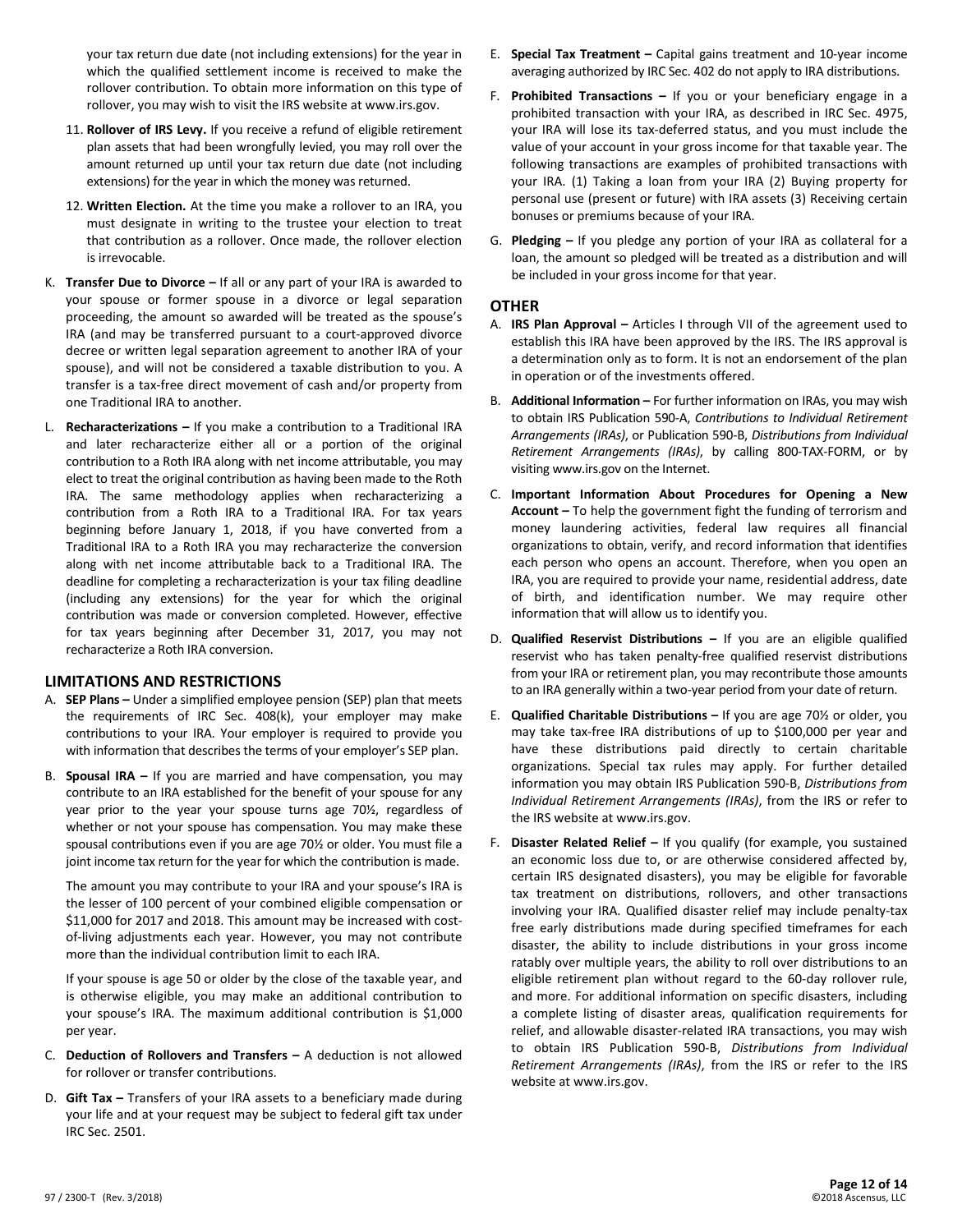your tax return due date (not including extensions) for the year in which the qualified settlement income is received to make the rollover contribution. To obtain more information on this type of rollover, you may wish to visit the IRS website at www.irs.gov.

- 11. **Rollover of IRS Levy.** If you receive a refund of eligible retirement plan assets that had been wrongfully levied, you may roll over the amount returned up until your tax return due date (not including extensions) for the year in which the money was returned.
- 12. **Written Election.** At the time you make a rollover to an IRA, you must designate in writing to the trustee your election to treat that contribution as a rollover. Once made, the rollover election is irrevocable.
- K. **Transfer Due to Divorce –** If all or any part of your IRA is awarded to your spouse or former spouse in a divorce or legal separation proceeding, the amount so awarded will be treated as the spouse's IRA (and may be transferred pursuant to a court-approved divorce decree or written legal separation agreement to another IRA of your spouse), and will not be considered a taxable distribution to you. A transfer is a tax-free direct movement of cash and/or property from one Traditional IRA to another.
- L. **Recharacterizations –** If you make a contribution to a Traditional IRA and later recharacterize either all or a portion of the original contribution to a Roth IRA along with net income attributable, you may elect to treat the original contribution as having been made to the Roth IRA. The same methodology applies when recharacterizing a contribution from a Roth IRA to a Traditional IRA. For tax years beginning before January 1, 2018, if you have converted from a Traditional IRA to a Roth IRA you may recharacterize the conversion along with net income attributable back to a Traditional IRA. The deadline for completing a recharacterization is your tax filing deadline (including any extensions) for the year for which the original contribution was made or conversion completed. However, effective for tax years beginning after December 31, 2017, you may not recharacterize a Roth IRA conversion.

#### **LIMITATIONS AND RESTRICTIONS**

- A. **SEP Plans –** Under a simplified employee pension (SEP) plan that meets the requirements of IRC Sec. 408(k), your employer may make contributions to your IRA. Your employer is required to provide you with information that describes the terms of your employer's SEP plan.
- B. **Spousal IRA –** If you are married and have compensation, you may contribute to an IRA established for the benefit of your spouse for any year prior to the year your spouse turns age 70½, regardless of whether or not your spouse has compensation. You may make these spousal contributions even if you are age 70½ or older. You must file a joint income tax return for the year for which the contribution is made.

The amount you may contribute to your IRA and your spouse's IRA is the lesser of 100 percent of your combined eligible compensation or \$11,000 for 2017 and 2018. This amount may be increased with costof-living adjustments each year. However, you may not contribute more than the individual contribution limit to each IRA.

If your spouse is age 50 or older by the close of the taxable year, and is otherwise eligible, you may make an additional contribution to your spouse's IRA. The maximum additional contribution is \$1,000 per year.

- C. **Deduction of Rollovers and Transfers –** A deduction is not allowed for rollover or transfer contributions.
- D. **Gift Tax –** Transfers of your IRA assets to a beneficiary made during your life and at your request may be subject to federal gift tax under IRC Sec. 2501.
- E. **Special Tax Treatment –** Capital gains treatment and 10-year income averaging authorized by IRC Sec. 402 do not apply to IRA distributions.
- F. **Prohibited Transactions –** If you or your beneficiary engage in a prohibited transaction with your IRA, as described in IRC Sec. 4975, your IRA will lose its tax-deferred status, and you must include the value of your account in your gross income for that taxable year. The following transactions are examples of prohibited transactions with your IRA. (1) Taking a loan from your IRA (2) Buying property for personal use (present or future) with IRA assets (3) Receiving certain bonuses or premiums because of your IRA.
- G. **Pledging –** If you pledge any portion of your IRA as collateral for a loan, the amount so pledged will be treated as a distribution and will be included in your gross income for that year.

#### **OTHER**

- A. **IRS Plan Approval –** Articles I through VII of the agreement used to establish this IRA have been approved by the IRS. The IRS approval is a determination only as to form. It is not an endorsement of the plan in operation or of the investments offered.
- B. **Additional Information –** For further information on IRAs, you may wish to obtain IRS Publication 590-A, *Contributions to Individual Retirement Arrangements (IRAs)*, or Publication 590-B, *Distributions from Individual Retirement Arrangements (IRAs)*, by calling 800-TAX-FORM, or by visiting www.irs.gov on the Internet.
- C. **Important Information About Procedures for Opening a New Account –** To help the government fight the funding of terrorism and money laundering activities, federal law requires all financial organizations to obtain, verify, and record information that identifies each person who opens an account. Therefore, when you open an IRA, you are required to provide your name, residential address, date of birth, and identification number. We may require other information that will allow us to identify you.
- D. **Qualified Reservist Distributions –** If you are an eligible qualified reservist who has taken penalty-free qualified reservist distributions from your IRA or retirement plan, you may recontribute those amounts to an IRA generally within a two-year period from your date of return.
- E. **Qualified Charitable Distributions –** If you are age 70½ or older, you may take tax-free IRA distributions of up to \$100,000 per year and have these distributions paid directly to certain charitable organizations. Special tax rules may apply. For further detailed information you may obtain IRS Publication 590-B, *Distributions from Individual Retirement Arrangements (IRAs)*, from the IRS or refer to the IRS website at www.irs.gov.
- F. **Disaster Related Relief –** If you qualify (for example, you sustained an economic loss due to, or are otherwise considered affected by, certain IRS designated disasters), you may be eligible for favorable tax treatment on distributions, rollovers, and other transactions involving your IRA. Qualified disaster relief may include penalty-tax free early distributions made during specified timeframes for each disaster, the ability to include distributions in your gross income ratably over multiple years, the ability to roll over distributions to an eligible retirement plan without regard to the 60-day rollover rule, and more. For additional information on specific disasters, including a complete listing of disaster areas, qualification requirements for relief, and allowable disaster-related IRA transactions, you may wish to obtain IRS Publication 590-B, *Distributions from Individual Retirement Arrangements (IRAs)*, from the IRS or refer to the IRS website at www.irs.gov.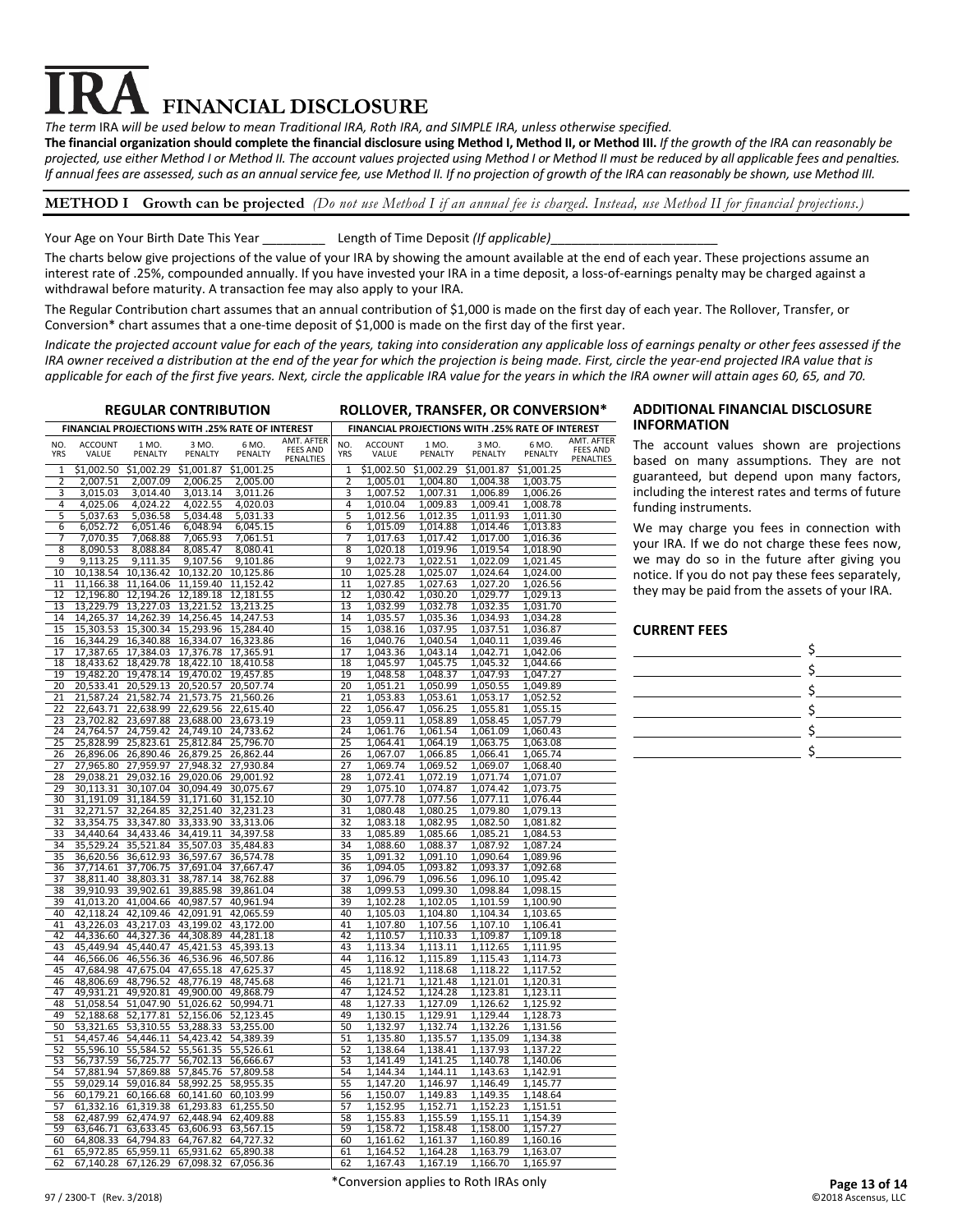# **FINANCIAL DISCLOSURE**

*The term* IRA *will be used below to mean Traditional IRA, Roth IRA, and SIMPLE IRA, unless otherwise specified.*

**The financial organization should complete the financial disclosure using Method I, Method II, or Method III.** *If the growth of the IRA can reasonably be projected, use either Method I or Method II. The account values projected using Method I or Method II must be reduced by all applicable fees and penalties. If annual fees are assessed, such as an annual service fee, use Method II. If no projection of growth of the IRA can reasonably be shown, use Method III.*

#### **METHOD I Growth can be projected** *(Do not use Method I if an annual fee is charged. Instead, use Method II for financial projections.)*

#### Your Age on Your Birth Date This Year \_\_\_\_\_\_\_\_\_\_\_\_\_\_\_Length of Time Deposit (If applicable)\_

The charts below give projections of the value of your IRA by showing the amount available at the end of each year. These projections assume an interest rate of .25%, compounded annually. If you have invested your IRA in a time deposit, a loss-of-earnings penalty may be charged against a withdrawal before maturity. A transaction fee may also apply to your IRA.

The Regular Contribution chart assumes that an annual contribution of \$1,000 is made on the first day of each year. The Rollover, Transfer, or Conversion\* chart assumes that a one-time deposit of \$1,000 is made on the first day of the first year.

*Indicate the projected account value for each of the years, taking into consideration any applicable loss of earnings penalty or other fees assessed if the IRA owner received a distribution at the end of the year for which the projection is being made. First, circle the year-end projected IRA value that is applicable for each of the first five years. Next, circle the applicable IRA value for the years in which the IRA owner will attain ages 60, 65, and 70.*

|                   | <b>REGULAR CONTRIBUTION</b>                      |                                                                |                        |                                            | ROLLOVER, TRANSFER, OR CONVERSION*         |                   |                         |                      |                      |                                                  |                                            |
|-------------------|--------------------------------------------------|----------------------------------------------------------------|------------------------|--------------------------------------------|--------------------------------------------|-------------------|-------------------------|----------------------|----------------------|--------------------------------------------------|--------------------------------------------|
|                   | FINANCIAL PROJECTIONS WITH .25% RATE OF INTEREST |                                                                |                        |                                            |                                            |                   |                         |                      |                      | FINANCIAL PROJECTIONS WITH .25% RATE OF INTEREST |                                            |
| NO.<br><b>YRS</b> | <b>ACCOUNT</b><br>VALUE                          | 1 MO.<br>PENALTY                                               | 3 MO.<br>PENALTY       | 6 MO.<br>PENALTY                           | AMT. AFTER<br><b>FEES AND</b><br>PENALTIES | NO.<br><b>YRS</b> | <b>ACCOUNT</b><br>VALUE | 1 MO.<br>PENALTY     | 3 MO.<br>PENALTY     | 6 MO.<br>PENALTY                                 | AMT. AFTER<br><b>FEES AND</b><br>PENALTIES |
| 1                 | \$1.002.50                                       | \$1,002.29                                                     | \$1,001.87             | \$1.001.25                                 |                                            | 1                 | \$1,002.50              | \$1,002.29           | \$1,001.87           | \$1,001.25                                       |                                            |
| $\overline{2}$    | 2,007.51                                         | 2,007.09                                                       | 2,006.25               | 2,005.00                                   |                                            | $\overline{2}$    | 1,005.01                | 1,004.80             | 1,004.38             | 1,003.75                                         |                                            |
| 3                 | 3,015.03                                         | 3,014.40                                                       | 3,013.14               | 3,011.26                                   |                                            | 3                 | 1,007.52                | 1,007.31             | 1,006.89             | 1,006.26                                         |                                            |
| 4                 | 4,025.06                                         | 4,024.22                                                       | 4,022.55               | 4,020.03                                   |                                            | 4                 | 1,010.04                | 1,009.83             | 1,009.41             | 1,008.78                                         |                                            |
| 5<br>6            | 5,037.63<br>6,052.72                             | 5,036.58<br>6,051.46                                           | 5,034.48<br>6,048.94   | 5,031.33<br>6,045.15                       |                                            | 5<br>6            | 1,012.56<br>1,015.09    | 1,012.35<br>1,014.88 | 1,011.93<br>1,014.46 | 1,011.30<br>1,013.83                             |                                            |
| $\overline{7}$    | 7,070.35                                         | 7,068.88                                                       | 7,065.93               | 7,061.51                                   |                                            | $\overline{7}$    | 1,017.63                | 1,017.42             | 1,017.00             | 1,016.36                                         |                                            |
| 8                 | 8,090.53                                         | 8,088.84                                                       | 8,085.47               | 8,080.41                                   |                                            | 8                 | 1,020.18                | 1,019.96             | 1,019.54             | 1,018.90                                         |                                            |
| 9                 | 9,113.25                                         | 9,111.35                                                       | 9,107.56               | 9,101.86                                   |                                            | 9                 | 1,022.73                | 1,022.51             | 1,022.09             | 1,021.45                                         |                                            |
| 10                | 10,138.54                                        | 10,136.42                                                      | 10,132.20              | 10.125.86                                  |                                            | 10                | 1,025.28                | 1,025.07             | 1,024.64             | 1.024.00                                         |                                            |
| 11                | 11,166.38                                        | 11,164.06                                                      | 11,159.40              | 11,152.42                                  |                                            | 11                | 1,027.85                | 1,027.63             | 1,027.20             | 1,026.56                                         |                                            |
| 12                | 12,196.80                                        | 12,194.26                                                      | 12,189.18              | 12,181.55                                  |                                            | 12                | 1,030.42                | 1,030.20             | 1,029.77             | 1,029.13                                         |                                            |
| 13<br>14          | 13,229.79<br>14,265.37                           | 13,227.03<br>14,262.39                                         | 13,221.52<br>14,256.45 | 13,213.25<br>14,247.53                     |                                            | 13<br>14          | 1,032.99<br>1,035.57    | 1,032.78<br>1,035.36 | 1,032.35<br>1,034.93 | 1,031.70<br>1,034.28                             |                                            |
| 15                | 15,303.53                                        | 15,300.34                                                      | 15,293.96              | 15,284.40                                  |                                            | 15                | 1,038.16                | 1,037.95             | 1,037.51             | 1,036.87                                         |                                            |
| 16                | 16,344.29                                        | 16,340.88                                                      | 16,334.07              | 16,323.86                                  |                                            | 16                | 1,040.76                | 1,040.54             | 1,040.11             | 1,039.46                                         |                                            |
| 17                | 17,387.65                                        | 17,384.03                                                      | 17,376.78              | 17,365.91                                  |                                            | 17                | 1,043.36                | 1,043.14             | 1,042.71             | 1,042.06                                         |                                            |
| 18                | 18,433.62                                        | 18,429.78                                                      | 18,422.10              | 18,410.58                                  |                                            | 18                | 1,045.97                | 1,045.75             | 1,045.32             | 1,044.66                                         |                                            |
| 19                | 19.482.20                                        | 19,478.14                                                      | 19,470.02              | 19.457.85                                  |                                            | 19                | 1,048.58                | 1,048.37             | 1,047.93             | 1,047.27                                         |                                            |
| 20                | 20,533.41                                        | 20,529.13                                                      | 20,520.57              | 20,507.74                                  |                                            | 20                | 1,051.21                | 1,050.99             | 1,050.55             | 1,049.89                                         |                                            |
| 21<br>22          | 21,587.24                                        | 21,582.74                                                      | 21,573.75              | 21,560.26                                  |                                            | 21<br>22          | 1,053.83                | 1,053.61             | 1,053.17             | 1,052.52                                         |                                            |
| 23                | 22,643.71<br>23,702.82                           | 22,638.99<br>23,697.88                                         |                        | 22,629.56 22,615.40<br>23,688.00 23,673.19 |                                            | 23                | 1,056.47<br>1,059.11    | 1,056.25<br>1,058.89 | 1,055.81<br>1,058.45 | 1,055.15<br>1,057.79                             |                                            |
| 24                | 24,764.57                                        | 24,759.42                                                      |                        | 24,749.10 24,733.62                        |                                            | 24                | 1,061.76                | 1,061.54             | 1,061.09             | 1,060.43                                         |                                            |
| 25                | 25,828.99                                        | 25,823.61                                                      | 25,812.84              | 25,796.70                                  |                                            | 25                | 1,064.41                | 1,064.19             | 1,063.75             | 1,063.08                                         |                                            |
| 26                | 26,896.06                                        | 26,890.46                                                      | 26,879.25              | 26,862.44                                  |                                            | 26                | 1,067.07                | 1,066.85             | 1,066.41             | 1,065.74                                         |                                            |
| 27                | 27,965.80                                        | 27,959.97                                                      | 27,948.32              | 27,930.84                                  |                                            | 27                | 1,069.74                | 1,069.52             | 1,069.07             | 1,068.40                                         |                                            |
| 28                | 29,038.21                                        | 29,032.16                                                      | 29,020.06              | 29.001.92                                  |                                            | 28                | 1,072.41                | 1,072.19             | 1,071.74             | 1,071.07                                         |                                            |
| 29                | 30,113.31                                        | 30,107.04                                                      | 30,094.49              | 30,075.67                                  |                                            | 29                | 1,075.10                | 1,074.87             | 1,074.42             | 1,073.75                                         |                                            |
| 30<br>31          | 31,191.09<br>32,271.57                           | 31,184.59<br>32,264.85                                         | 31,171.60<br>32,251.40 | 31,152.10<br>32,231.23                     |                                            | 30<br>31          | 1,077.78<br>1,080.48    | 1,077.56<br>1,080.25 | 1,077.11<br>1,079.80 | 1,076.44<br>1,079.13                             |                                            |
| 32                | 33,354.75                                        | 33,347.80                                                      | 33,333.90              | 33,313.06                                  |                                            | 32                | 1,083.18                | 1,082.95             | 1,082.50             | 1,081.82                                         |                                            |
| 33                | 34,440.64                                        | 34,433.46                                                      | 34,419.11              | 34,397.58                                  |                                            | 33                | 1,085.89                | 1,085.66             | 1,085.21             | 1,084.53                                         |                                            |
| 34                | 35,529.24                                        | 35,521.84                                                      | 35,507.03              | 35,484.83                                  |                                            | 34                | 1,088.60                | 1,088.37             | 1,087.92             | 1,087.24                                         |                                            |
| 35                | 36,620.56                                        | 36,612.93                                                      | 36,597.67              | 36,574.78                                  |                                            | 35                | 1,091.32                | 1,091.10             | 1,090.64             | 1,089.96                                         |                                            |
| 36                | 37,714.61                                        | 37,706.75                                                      | 37,691.04              | 37,667.47                                  |                                            | 36                | 1,094.05                | 1,093.82             | 1,093.37             | 1,092.68                                         |                                            |
| 37                | 38,811.40                                        | 38,803.31                                                      | 38,787.14              | 38,762.88                                  |                                            | 37                | 1,096.79                | 1,096.56             | 1,096.10             | 1,095.42                                         |                                            |
| 38<br>39          | 39,910.93<br>41,013.20                           | 39,902.61<br>41,004.66                                         | 39,885.98<br>40,987.57 | 39,861.04<br>40,961.94                     |                                            | 38<br>39          | 1,099.53<br>1,102.28    | 1,099.30<br>1,102.05 | 1,098.84<br>1,101.59 | 1,098.15<br>1,100.90                             |                                            |
| 40                | 42,118.24                                        | 42,109.46                                                      | 42,091.91              | 42,065.59                                  |                                            | 40                | 1,105.03                | 1,104.80             | 1,104.34             | 1,103.65                                         |                                            |
| 41                | 43,226.03                                        | 43,217.03                                                      | 43,199.02              | 43,172.00                                  |                                            | 41                | 1,107.80                | 1,107.56             | 1,107.10             | 1,106.41                                         |                                            |
| 42                | 44,336.60                                        | 44,327.36                                                      | 44,308.89              | 44,281.18                                  |                                            | 42                | 1,110.57                | 1,110.33             | 1,109.87             | 1,109.18                                         |                                            |
| 43                | 45,449.94                                        | 45,440.47                                                      | 45,421.53              | 45,393.13                                  |                                            | 43                | 1,113.34                | 1,113.11             | 1,112.65             | 1,111.95                                         |                                            |
| 44                | 46,566.06                                        | 46,556.36                                                      | 46,536.96              | 46,507.86                                  |                                            | 44                | 1,116.12                | 1,115.89             | 1,115.43             | 1,114.73                                         |                                            |
| 45                | 47,684.98                                        | 47,675.04                                                      | 47,655.18              | 47,625.37                                  |                                            | 45                | 1,118.92                | 1,118.68             | 1,118.22             | 1,117.52                                         |                                            |
| 46<br>47          | 48,806.69<br>49,931.21                           | 48,796.52<br>49,920.81                                         | 48,776.19<br>49,900.00 | 48,745.68<br>49,868.79                     |                                            | 46<br>47          | 1,121.71<br>1,124.52    | 1,121.48<br>1,124.28 | 1,121.01<br>1,123.81 | 1,120.31<br>1,123.11                             |                                            |
| 48                | 51,058.54                                        | 51,047.90                                                      | 51,026.62              | 50,994.71                                  |                                            | 48                | 1,127.33                | 1,127.09             | 1,126.62             | 1,125.92                                         |                                            |
| 49                | 52,188.68                                        | 52,177.81                                                      | 52,156.06              | 52,123.45                                  |                                            | 49                | 1,130.15                | 1,129.91             | 1,129.44             | 1,128.73                                         |                                            |
| 50                | 53,321.65                                        | 53,310.55                                                      | 53,288.33              | 53,255.00                                  |                                            | 50                | 1,132.97                | 1,132.74             | 1,132.26             | 1,131.56                                         |                                            |
| 51                | 54,457.46                                        | 54,446.11                                                      | 54,423.42              | 54,389.39                                  |                                            | 51                | 1,135.80                | 1,135.57             | 1,135.09             | 1,134.38                                         |                                            |
| 52                | 55,596.10                                        | 55,584.52                                                      | 55,561.35              | 55,526.61                                  |                                            | 52                | 1,138.64                | 1,138.41             | 1,137.93             | 1,137.22                                         |                                            |
| 53                | 56,737.59                                        | 56,725.77                                                      | 56,702.13              | 56,666.67                                  |                                            | 53                | 1,141.49                | 1,141.25             | 1,140.78             | 1,140.06                                         |                                            |
| 54<br>55          | 57,881.94<br>59,029.14                           | 57,869.88<br>59,016.84                                         | 57,845.76<br>58,992.25 | 57,809.58<br>58,955.35                     |                                            | 54<br>55          | 1,144.34<br>1,147.20    | 1,144.11<br>1,146.97 | 1,143.63<br>1,146.49 | 1,142.91<br>1,145.77                             |                                            |
| 56                | 60,179.21                                        | 60,166.68                                                      | 60,141.60              | 60,103.99                                  |                                            | 56                | 1,150.07                | 1,149.83             | 1,149.35             | 1,148.64                                         |                                            |
| 57                | 61,332.16                                        | 61,319.38                                                      | 61,293.83              | 61,255.50                                  |                                            | 57                | 1,152.95                | 1,152.71             | 1,152.23             | 1,151.51                                         |                                            |
| 58                | 62,487.99                                        | 62,474.97                                                      | 62,448.94              | 62,409.88                                  |                                            | 58                | 1,155.83                | 1,155.59             | 1,155.11             | 1,154.39                                         |                                            |
| 59                | 63,646.71                                        | 63,633.45                                                      | 63,606.93              | 63,567.15                                  |                                            | 59                | 1,158.72                | 1,158.48             | 1,158.00             | 1,157.27                                         |                                            |
| 60                | 64,808.33                                        | 64,794.83                                                      | 64,767.82              | 64,727.32                                  |                                            | 60                | 1,161.62                | 1,161.37             | 1,160.89             | 1,160.16                                         |                                            |
| 61<br>62          |                                                  | 65,972.85 65,959.11<br>67.140.28 67.126.29 67.098.32 67.056.36 | 65,931.62              | 65,890.38                                  |                                            | 61<br>62          | 1,164.52<br>1.167.43    | 1,164.28<br>1.167.19 | 1,163.79<br>1.166.70 | 1,163.07<br>1.165.97                             |                                            |
|                   |                                                  |                                                                |                        |                                            |                                            |                   |                         |                      |                      |                                                  |                                            |

#### **REGULAR CONTRIBUTION ROLLOVER, TRANSFER, OR CONVERSION\* ADDITIONAL FINANCIAL DISCLOSURE INFORMATION**

The account values shown are projections based on many assumptions. They are not guaranteed, but depend upon many factors, including the interest rates and terms of future funding instruments.

We may charge you fees in connection with your IRA. If we do not charge these fees now, we may do so in the future after giving you notice. If you do not pay these fees separately, they may be paid from the assets of your IRA.

#### **CURRENT FEES**